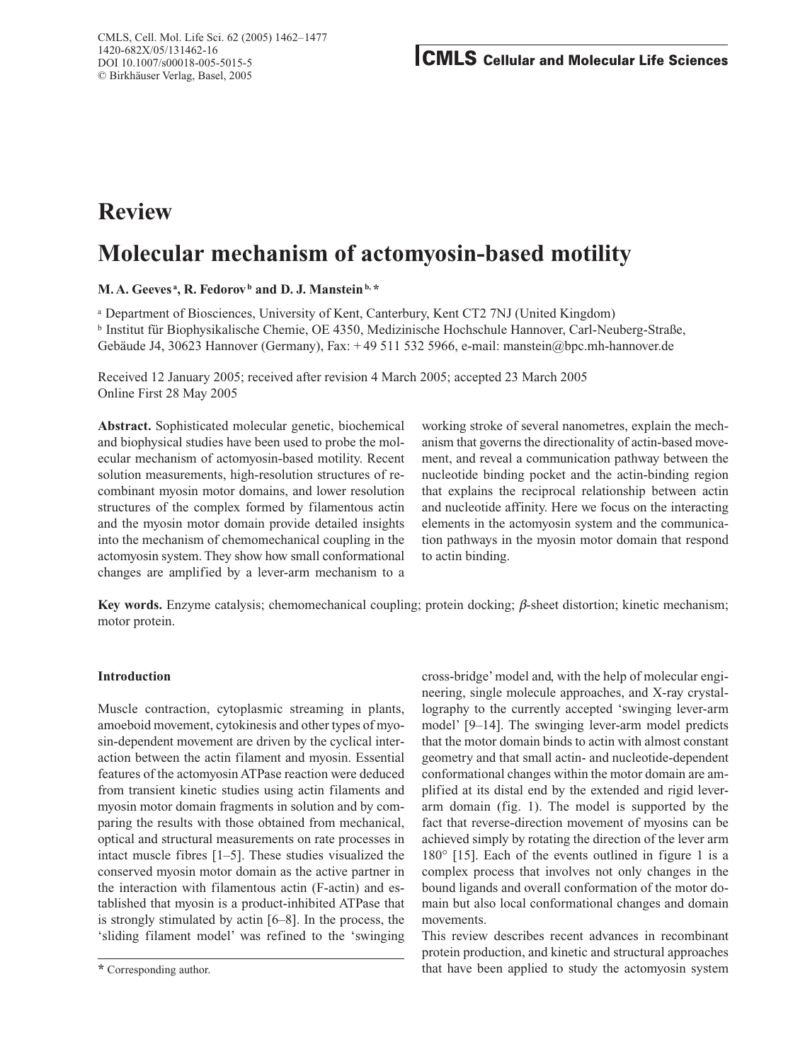# **Review**

# **Molecular mechanism of actomyosin-based motility**

**M. A. Geeves<sup>2</sup>, R. Fedorov**<sup>b</sup> and D. J. Manstein<sup>b,\*</sup>

<sup>a</sup> Department of Biosciences, University of Kent, Canterbury, Kent CT2 7NJ (United Kingdom) <sup>b</sup> Institut für Biophysikalische Chemie, OE 4350, Medizinische Hochschule Hannover, Carl-Neuberg-Straße, Gebäude J4, 30623 Hannover (Germany), Fax: + 49 511 532 5966, e-mail: manstein@bpc.mh-hannover.de

Received 12 January 2005; received after revision 4 March 2005; accepted 23 March 2005 Online First 28 May 2005

**Abstract.** Sophisticated molecular genetic, biochemical and biophysical studies have been used to probe the molecular mechanism of actomyosin-based motility. Recent solution measurements, high-resolution structures of recombinant myosin motor domains, and lower resolution structures of the complex formed by filamentous actin and the myosin motor domain provide detailed insights into the mechanism of chemomechanical coupling in the actomyosin system. They show how small conformational changes are amplified by a lever-arm mechanism to a

working stroke of several nanometres, explain the mechanism that governs the directionality of actin-based movement, and reveal a communication pathway between the nucleotide binding pocket and the actin-binding region that explains the reciprocal relationship between actin and nucleotide affinity. Here we focus on the interacting elements in the actomyosin system and the communication pathways in the myosin motor domain that respond to actin binding.

**Key words.** Enzyme catalysis; chemomechanical coupling; protein docking;  $\beta$ -sheet distortion; kinetic mechanism; motor protein.

# **Introduction**

Muscle contraction, cytoplasmic streaming in plants, amoeboid movement, cytokinesis and other types of myosin-dependent movement are driven by the cyclical interaction between the actin filament and myosin. Essential features of the actomyosin ATPase reaction were deduced from transient kinetic studies using actin filaments and myosin motor domain fragments in solution and by comparing the results with those obtained from mechanical, optical and structural measurements on rate processes in intact muscle fibres [1–5]. These studies visualized the conserved myosin motor domain as the active partner in the interaction with filamentous actin (F-actin) and established that myosin is a product-inhibited ATPase that is strongly stimulated by actin [6–8]. In the process, the 'sliding filament model' was refined to the 'swinging cross-bridge' model and, with the help of molecular engineering, single molecule approaches, and X-ray crystallography to the currently accepted 'swinging lever-arm model' [9–14]. The swinging lever-arm model predicts that the motor domain binds to actin with almost constant geometry and that small actin- and nucleotide-dependent conformational changes within the motor domain are amplified at its distal end by the extended and rigid leverarm domain (fig. 1). The model is supported by the fact that reverse-direction movement of myosins can be achieved simply by rotating the direction of the lever arm 180° [15]. Each of the events outlined in figure 1 is a complex process that involves not only changes in the bound ligands and overall conformation of the motor domain but also local conformational changes and domain movements.

This review describes recent advances in recombinant protein production, and kinetic and structural approaches that have been applied to study the actomyosin system

**<sup>\*</sup>** Corresponding author.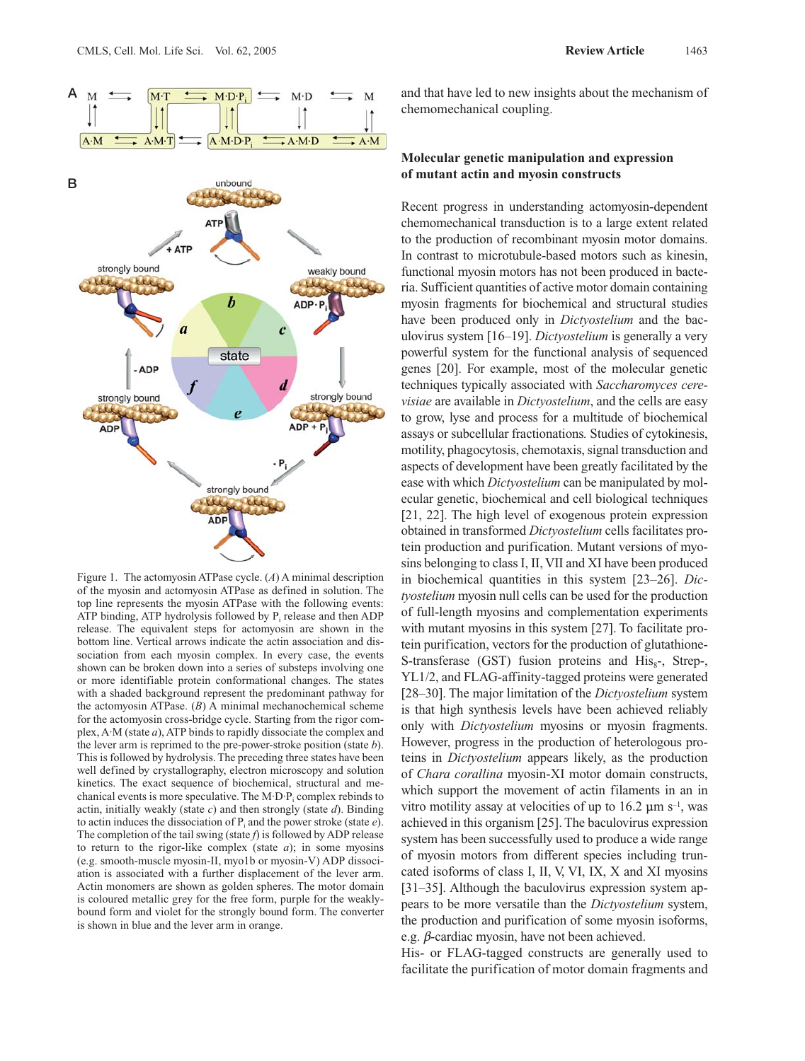

Figure 1. The actomyosin ATPase cycle. (*A*) A minimal description of the myosin and actomyosin ATPase as defined in solution. The top line represents the myosin ATPase with the following events: ATP binding, ATP hydrolysis followed by  $P_i$  release and then ADP release. The equivalent steps for actomyosin are shown in the bottom line. Vertical arrows indicate the actin association and dissociation from each myosin complex. In every case, the events shown can be broken down into a series of substeps involving one or more identifiable protein conformational changes. The states with a shaded background represent the predominant pathway for the actomyosin ATPase. (*B*) A minimal mechanochemical scheme for the actomyosin cross-bridge cycle. Starting from the rigor complex, A·M (state *a*), ATP binds to rapidly dissociate the complex and the lever arm is reprimed to the pre-power-stroke position (state *b*). This is followed by hydrolysis. The preceding three states have been well defined by crystallography, electron microscopy and solution kinetics. The exact sequence of biochemical, structural and mechanical events is more speculative. The  $M \cdot D \cdot P_i$  complex rebinds to actin, initially weakly (state *c*) and then strongly (state *d*). Binding to actin induces the dissociation of  $P_i$  and the power stroke (state  $e$ ). The completion of the tail swing (state *f*) is followed by ADP release to return to the rigor-like complex (state *a*); in some myosins (e.g. smooth-muscle myosin-II, myo1b or myosin-V) ADP dissociation is associated with a further displacement of the lever arm. Actin monomers are shown as golden spheres. The motor domain is coloured metallic grey for the free form, purple for the weaklybound form and violet for the strongly bound form. The converter is shown in blue and the lever arm in orange.

and that have led to new insights about the mechanism of chemomechanical coupling.

# **Molecular genetic manipulation and expression of mutant actin and myosin constructs**

Recent progress in understanding actomyosin-dependent chemomechanical transduction is to a large extent related to the production of recombinant myosin motor domains. In contrast to microtubule-based motors such as kinesin, functional myosin motors has not been produced in bacteria. Sufficient quantities of active motor domain containing myosin fragments for biochemical and structural studies have been produced only in *Dictyostelium* and the baculovirus system [16–19]. *Dictyostelium* is generally a very powerful system for the functional analysis of sequenced genes [20]. For example, most of the molecular genetic techniques typically associated with *Saccharomyces cerevisiae* are available in *Dictyostelium*, and the cells are easy to grow, lyse and process for a multitude of biochemical assays or subcellular fractionations*.* Studies of cytokinesis, motility, phagocytosis, chemotaxis, signal transduction and aspects of development have been greatly facilitated by the ease with which *Dictyostelium* can be manipulated by molecular genetic, biochemical and cell biological techniques [21, 22]. The high level of exogenous protein expression obtained in transformed *Dictyostelium* cells facilitates protein production and purification. Mutant versions of myosins belonging to class I, II, VII and XI have been produced in biochemical quantities in this system [23–26]. *Dictyostelium* myosin null cells can be used for the production of full-length myosins and complementation experiments with mutant myosins in this system [27]. To facilitate protein purification, vectors for the production of glutathione-S-transferase  $(GST)$  fusion proteins and  $His_{s}$ -, Strep-, YL1/2, and FLAG-affinity-tagged proteins were generated [28–30]. The major limitation of the *Dictyostelium* system is that high synthesis levels have been achieved reliably only with *Dictyostelium* myosins or myosin fragments. However, progress in the production of heterologous proteins in *Dictyostelium* appears likely, as the production of *Chara corallina* myosin-XI motor domain constructs, which support the movement of actin filaments in an in vitro motility assay at velocities of up to 16.2  $\mu$ m s<sup>-1</sup>, was achieved in this organism [25]. The baculovirus expression system has been successfully used to produce a wide range of myosin motors from different species including truncated isoforms of class I, II, V, VI, IX, X and XI myosins [31–35]. Although the baculovirus expression system appears to be more versatile than the *Dictyostelium* system, the production and purification of some myosin isoforms, e.g.  $\beta$ -cardiac myosin, have not been achieved.

His- or FLAG-tagged constructs are generally used to facilitate the purification of motor domain fragments and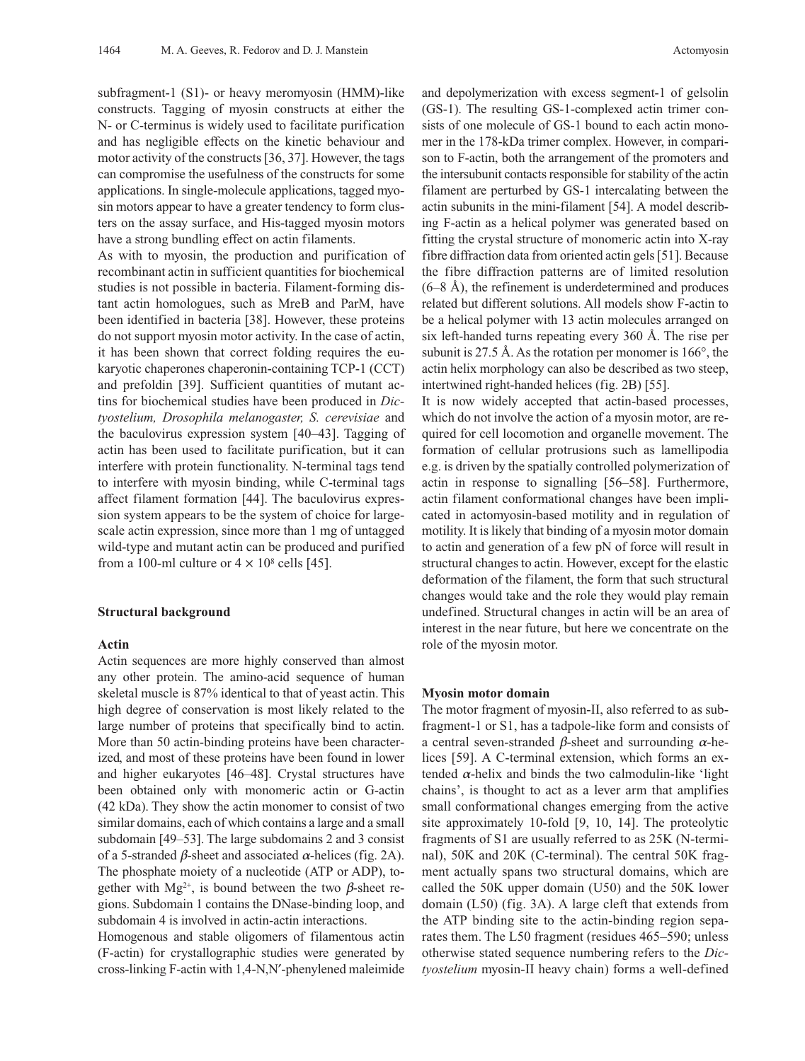subfragment-1 (S1)- or heavy meromyosin (HMM)-like constructs. Tagging of myosin constructs at either the N- or C-terminus is widely used to facilitate purification and has negligible effects on the kinetic behaviour and motor activity of the constructs [36, 37]. However, the tags can compromise the usefulness of the constructs for some applications. In single-molecule applications, tagged myosin motors appear to have a greater tendency to form clusters on the assay surface, and His-tagged myosin motors have a strong bundling effect on actin filaments.

As with to myosin, the production and purification of recombinant actin in sufficient quantities for biochemical studies is not possible in bacteria. Filament-forming distant actin homologues, such as MreB and ParM, have been identified in bacteria [38]. However, these proteins do not support myosin motor activity. In the case of actin, it has been shown that correct folding requires the eukaryotic chaperones chaperonin-containing TCP-1 (CCT) and prefoldin [39]. Sufficient quantities of mutant actins for biochemical studies have been produced in *Dictyostelium, Drosophila melanogaster, S. cerevisiae* and the baculovirus expression system [40–43]. Tagging of actin has been used to facilitate purification, but it can interfere with protein functionality. N-terminal tags tend to interfere with myosin binding, while C-terminal tags affect filament formation [44]. The baculovirus expression system appears to be the system of choice for largescale actin expression, since more than 1 mg of untagged wild-type and mutant actin can be produced and purified from a 100-ml culture or  $4 \times 10^8$  cells [45].

#### **Structural background**

## **Actin**

Actin sequences are more highly conserved than almost any other protein. The amino-acid sequence of human skeletal muscle is 87% identical to that of yeast actin. This high degree of conservation is most likely related to the large number of proteins that specifically bind to actin. More than 50 actin-binding proteins have been characterized, and most of these proteins have been found in lower and higher eukaryotes [46–48]. Crystal structures have been obtained only with monomeric actin or G-actin (42 kDa). They show the actin monomer to consist of two similar domains, each of which contains a large and a small subdomain [49–53]. The large subdomains 2 and 3 consist of a 5-stranded  $\beta$ -sheet and associated  $\alpha$ -helices (fig. 2A). The phosphate moiety of a nucleotide (ATP or ADP), together with  $Mg^{2+}$ , is bound between the two  $\beta$ -sheet regions. Subdomain 1 contains the DNase-binding loop, and subdomain 4 is involved in actin-actin interactions.

Homogenous and stable oligomers of filamentous actin (F-actin) for crystallographic studies were generated by cross-linking  $F$ -actin with  $1,4-N,N'$ -phenylened maleimide and depolymerization with excess segment-1 of gelsolin (GS-1). The resulting GS-1-complexed actin trimer consists of one molecule of GS-1 bound to each actin monomer in the 178-kDa trimer complex. However, in comparison to F-actin, both the arrangement of the promoters and the intersubunit contacts responsible for stability of the actin filament are perturbed by GS-1 intercalating between the actin subunits in the mini-filament [54]. A model describing F-actin as a helical polymer was generated based on fitting the crystal structure of monomeric actin into X-ray fibre diffraction data from oriented actin gels [51]. Because the fibre diffraction patterns are of limited resolution  $(6–8 \text{ Å})$ , the refinement is underdetermined and produces related but different solutions. All models show F-actin to be a helical polymer with 13 actin molecules arranged on six left-handed turns repeating every 360 Å. The rise per subunit is 27.5 Å. As the rotation per monomer is 166°, the actin helix morphology can also be described as two steep, intertwined right-handed helices (fig. 2B) [55].

It is now widely accepted that actin-based processes, which do not involve the action of a myosin motor, are required for cell locomotion and organelle movement. The formation of cellular protrusions such as lamellipodia e.g. is driven by the spatially controlled polymerization of actin in response to signalling [56–58]. Furthermore, actin filament conformational changes have been implicated in actomyosin-based motility and in regulation of motility. It is likely that binding of a myosin motor domain to actin and generation of a few pN of force will result in structural changes to actin. However, except for the elastic deformation of the filament, the form that such structural changes would take and the role they would play remain undefined. Structural changes in actin will be an area of interest in the near future, but here we concentrate on the role of the myosin motor.

## **Myosin motor domain**

The motor fragment of myosin-II, also referred to as subfragment-1 or S1, has a tadpole-like form and consists of a central seven-stranded  $\beta$ -sheet and surrounding  $\alpha$ -helices [59]. A C-terminal extension, which forms an extended  $\alpha$ -helix and binds the two calmodulin-like 'light chains', is thought to act as a lever arm that amplifies small conformational changes emerging from the active site approximately 10-fold [9, 10, 14]. The proteolytic fragments of S1 are usually referred to as 25K (N-terminal), 50K and 20K (C-terminal). The central 50K fragment actually spans two structural domains, which are called the 50K upper domain (U50) and the 50K lower domain (L50) (fig. 3A). A large cleft that extends from the ATP binding site to the actin-binding region separates them. The L50 fragment (residues 465–590; unless otherwise stated sequence numbering refers to the *Dictyostelium* myosin-II heavy chain) forms a well-defined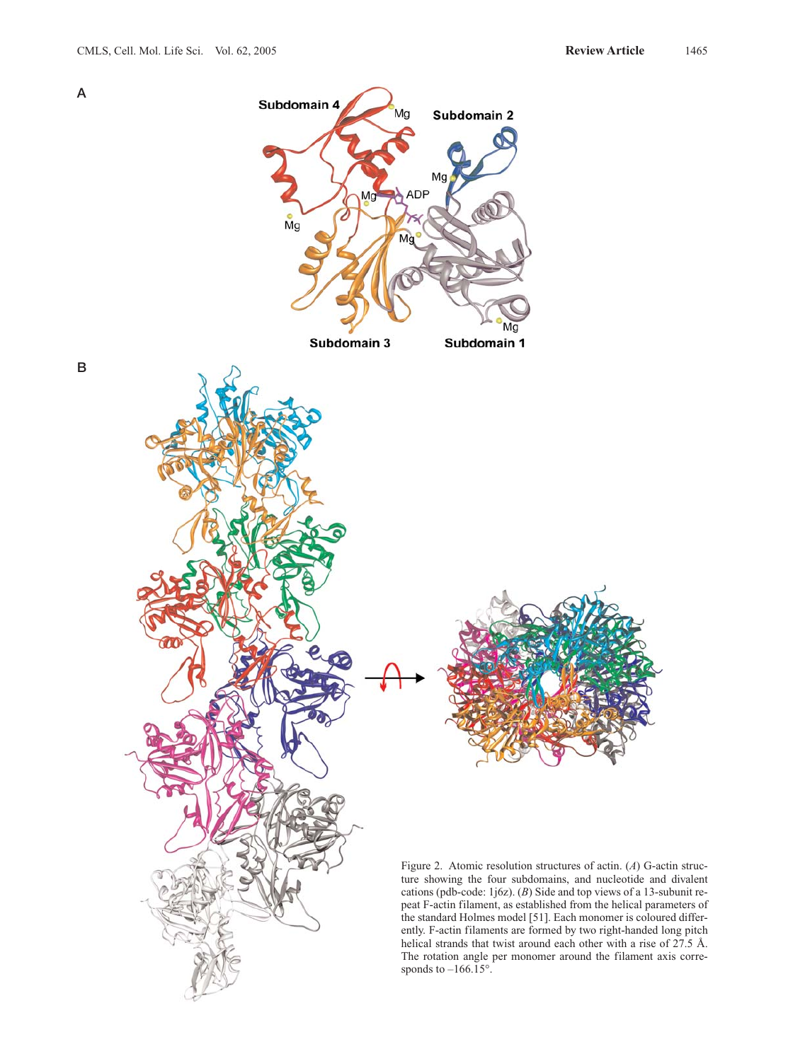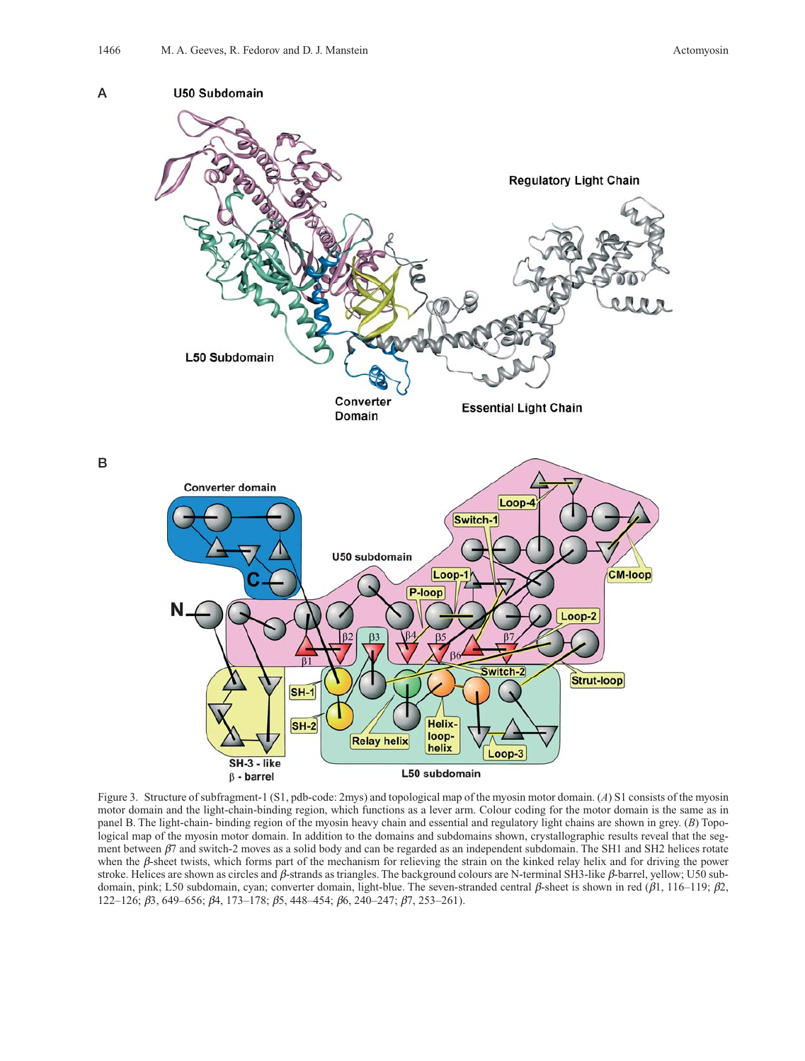

Figure 3. Structure of subfragment-1 (S1, pdb-code: 2mys) and topological map of the myosin motor domain. (*A*) S1 consists of the myosin motor domain and the light-chain-binding region, which functions as a lever arm. Colour coding for the motor domain is the same as in panel B. The light-chain- binding region of the myosin heavy chain and essential and regulatory light chains are shown in grey. (*B*) Topological map of the myosin motor domain. In addition to the domains and subdomains shown, crystallographic results reveal that the segment between  $\beta$ 7 and switch-2 moves as a solid body and can be regarded as an independent subdomain. The SH1 and SH2 helices rotate when the  $\beta$ -sheet twists, which forms part of the mechanism for relieving the strain on the kinked relay helix and for driving the power stroke. Helices are shown as circles and  $\beta$ -strands as triangles. The background colours are N-terminal SH3-like  $\beta$ -barrel, yellow; U50 subdomain, pink; L50 subdomain, cyan; converter domain, light-blue. The seven-stranded central  $\beta$ -sheet is shown in red ( $\beta$ 1, 116–119;  $\beta$ 2, 122–126;  $\beta$ 3, 649–656;  $\beta$ 4, 173–178;  $\beta$ 5, 448–454;  $\beta$ 6, 240–247;  $\beta$ 7, 253–261).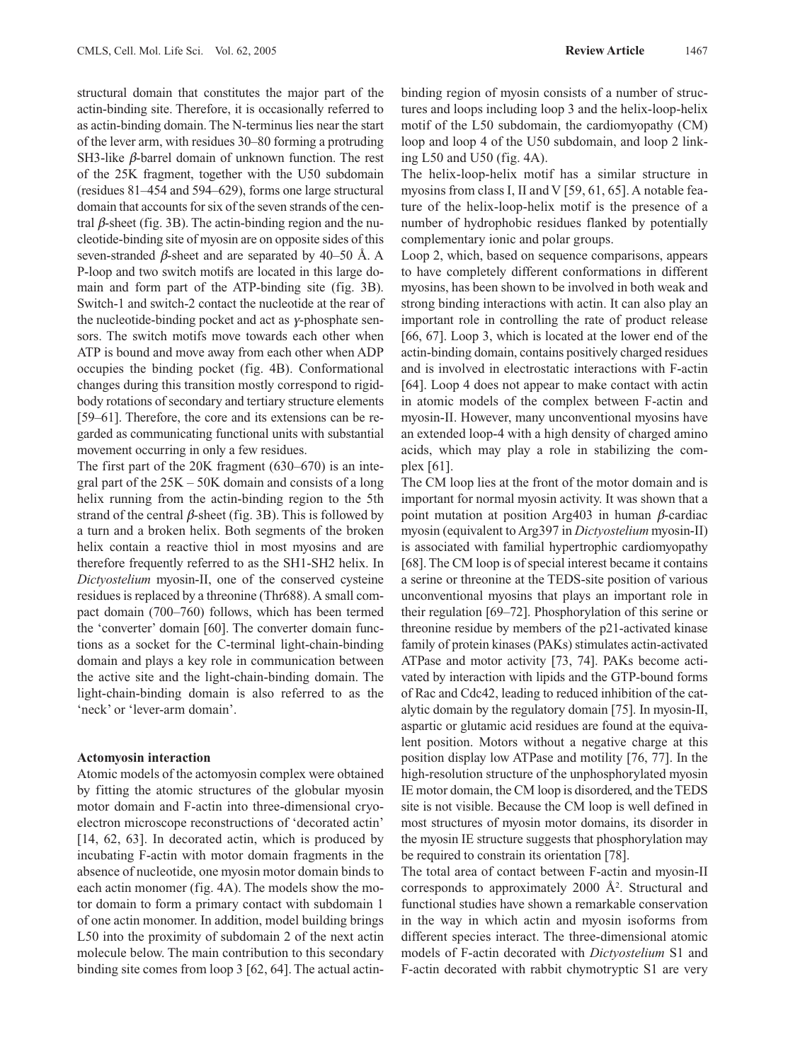structural domain that constitutes the major part of the actin-binding site. Therefore, it is occasionally referred to as actin-binding domain. The N-terminus lies near the start of the lever arm, with residues 30–80 forming a protruding SH3-like  $\beta$ -barrel domain of unknown function. The rest of the 25K fragment, together with the U50 subdomain (residues 81–454 and 594–629), forms one large structural domain that accounts for six of the seven strands of the central  $\beta$ -sheet (fig. 3B). The actin-binding region and the nucleotide-binding site of myosin are on opposite sides of this seven-stranded  $\beta$ -sheet and are separated by 40–50 Å. A P-loop and two switch motifs are located in this large domain and form part of the ATP-binding site (fig. 3B). Switch-1 and switch-2 contact the nucleotide at the rear of the nucleotide-binding pocket and act as  $\gamma$ -phosphate sensors. The switch motifs move towards each other when ATP is bound and move away from each other when ADP occupies the binding pocket (fig. 4B). Conformational changes during this transition mostly correspond to rigidbody rotations of secondary and tertiary structure elements [59–61]. Therefore, the core and its extensions can be regarded as communicating functional units with substantial movement occurring in only a few residues.

The first part of the 20K fragment (630–670) is an integral part of the 25K – 50K domain and consists of a long helix running from the actin-binding region to the 5th strand of the central  $\beta$ -sheet (fig. 3B). This is followed by a turn and a broken helix. Both segments of the broken helix contain a reactive thiol in most myosins and are therefore frequently referred to as the SH1-SH2 helix. In *Dictyostelium* myosin-II, one of the conserved cysteine residues is replaced by a threonine (Thr688). A small compact domain (700–760) follows, which has been termed the 'converter' domain [60]. The converter domain functions as a socket for the C-terminal light-chain-binding domain and plays a key role in communication between the active site and the light-chain-binding domain. The light-chain-binding domain is also referred to as the 'neck' or 'lever-arm domain'.

## **Actomyosin interaction**

Atomic models of the actomyosin complex were obtained by fitting the atomic structures of the globular myosin motor domain and F-actin into three-dimensional cryoelectron microscope reconstructions of 'decorated actin' [14, 62, 63]. In decorated actin, which is produced by incubating F-actin with motor domain fragments in the absence of nucleotide, one myosin motor domain binds to each actin monomer (fig. 4A). The models show the motor domain to form a primary contact with subdomain 1 of one actin monomer. In addition, model building brings L50 into the proximity of subdomain 2 of the next actin molecule below. The main contribution to this secondary binding site comes from loop 3 [62, 64]. The actual actinbinding region of myosin consists of a number of structures and loops including loop 3 and the helix-loop-helix motif of the L50 subdomain, the cardiomyopathy (CM) loop and loop 4 of the U50 subdomain, and loop 2 linking L50 and U50 (fig. 4A).

The helix-loop-helix motif has a similar structure in myosins from class I, II and V [59, 61, 65]. A notable feature of the helix-loop-helix motif is the presence of a number of hydrophobic residues flanked by potentially complementary ionic and polar groups.

Loop 2, which, based on sequence comparisons, appears to have completely different conformations in different myosins, has been shown to be involved in both weak and strong binding interactions with actin. It can also play an important role in controlling the rate of product release [66, 67]. Loop 3, which is located at the lower end of the actin-binding domain, contains positively charged residues and is involved in electrostatic interactions with F-actin [64]. Loop 4 does not appear to make contact with actin in atomic models of the complex between F-actin and myosin-II. However, many unconventional myosins have an extended loop-4 with a high density of charged amino acids, which may play a role in stabilizing the complex [61].

The CM loop lies at the front of the motor domain and is important for normal myosin activity. It was shown that a point mutation at position Arg403 in human  $\beta$ -cardiac myosin (equivalent to Arg397 in *Dictyostelium* myosin-II) is associated with familial hypertrophic cardiomyopathy [68]. The CM loop is of special interest became it contains a serine or threonine at the TEDS-site position of various unconventional myosins that plays an important role in their regulation [69–72]. Phosphorylation of this serine or threonine residue by members of the p21-activated kinase family of protein kinases (PAKs) stimulates actin-activated ATPase and motor activity [73, 74]. PAKs become activated by interaction with lipids and the GTP-bound forms of Rac and Cdc42, leading to reduced inhibition of the catalytic domain by the regulatory domain [75]. In myosin-II, aspartic or glutamic acid residues are found at the equivalent position. Motors without a negative charge at this position display low ATPase and motility [76, 77]. In the high-resolution structure of the unphosphorylated myosin IE motor domain, the CM loop is disordered, and the TEDS site is not visible. Because the CM loop is well defined in most structures of myosin motor domains, its disorder in the myosin IE structure suggests that phosphorylation may be required to constrain its orientation [78].

The total area of contact between F-actin and myosin-II corresponds to approximately 2000 Å2. Structural and functional studies have shown a remarkable conservation in the way in which actin and myosin isoforms from different species interact. The three-dimensional atomic models of F-actin decorated with *Dictyostelium* S1 and F-actin decorated with rabbit chymotryptic S1 are very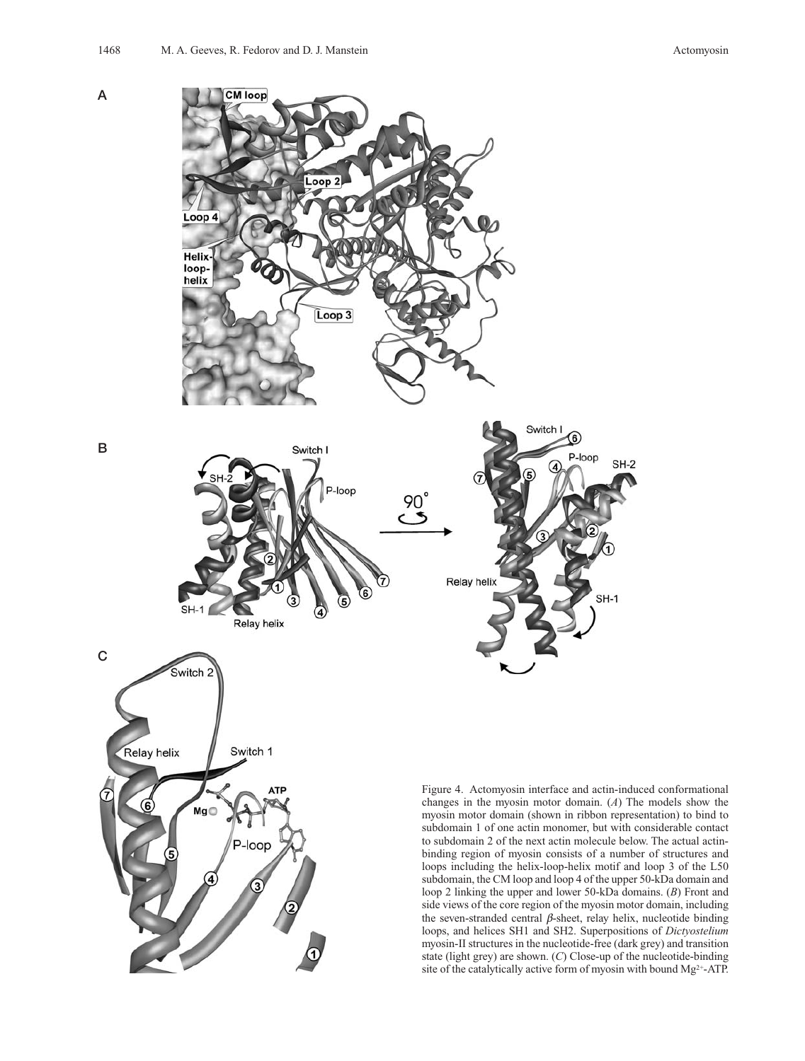

state (light grey) are shown. (*C*) Close-up of the nucleotide-binding site of the catalytically active form of myosin with bound Mg<sup>2+</sup>-ATP.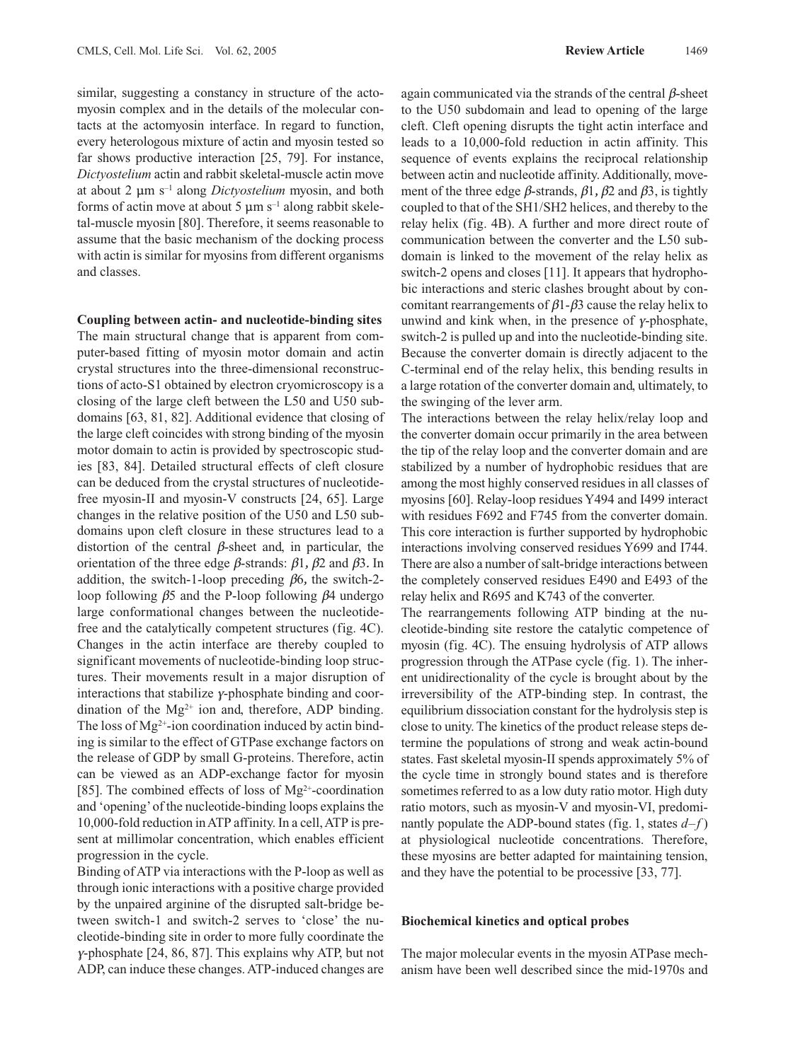similar, suggesting a constancy in structure of the actomyosin complex and in the details of the molecular contacts at the actomyosin interface. In regard to function, every heterologous mixture of actin and myosin tested so far shows productive interaction [25, 79]. For instance, *Dictyostelium* actin and rabbit skeletal-muscle actin move at about 2 mm s–1 along *Dictyostelium* myosin, and both forms of actin move at about 5  $\mu$ m s<sup>-1</sup> along rabbit skeletal-muscle myosin [80]. Therefore, it seems reasonable to assume that the basic mechanism of the docking process with actin is similar for myosins from different organisms and classes.

**Coupling between actin- and nucleotide-binding sites**

The main structural change that is apparent from computer-based fitting of myosin motor domain and actin crystal structures into the three-dimensional reconstructions of acto-S1 obtained by electron cryomicroscopy is a closing of the large cleft between the L50 and U50 subdomains [63, 81, 82]. Additional evidence that closing of the large cleft coincides with strong binding of the myosin motor domain to actin is provided by spectroscopic studies [83, 84]. Detailed structural effects of cleft closure can be deduced from the crystal structures of nucleotidefree myosin-II and myosin-V constructs [24, 65]. Large changes in the relative position of the U50 and L50 subdomains upon cleft closure in these structures lead to a distortion of the central  $\beta$ -sheet and, in particular, the orientation of the three edge  $\beta$ -strands:  $\beta$ 1,  $\beta$ 2 and  $\beta$ 3. In addition, the switch-1-loop preceding  $\beta$ 6, the switch-2loop following  $\beta$ 5 and the P-loop following  $\beta$ 4 undergo large conformational changes between the nucleotidefree and the catalytically competent structures (fig. 4C). Changes in the actin interface are thereby coupled to significant movements of nucleotide-binding loop structures. Their movements result in a major disruption of interactions that stabilize  $\gamma$ -phosphate binding and coordination of the  $Mg^{2+}$  ion and, therefore, ADP binding. The loss of  $Mg^{2+}$ -ion coordination induced by actin binding is similar to the effect of GTPase exchange factors on the release of GDP by small G-proteins. Therefore, actin can be viewed as an ADP-exchange factor for myosin [85]. The combined effects of loss of  $Mg^{2+}$ -coordination and 'opening'of the nucleotide-binding loops explains the 10,000-fold reduction in ATP affinity. In a cell, ATP is present at millimolar concentration, which enables efficient progression in the cycle.

Binding of ATP via interactions with the P-loop as well as through ionic interactions with a positive charge provided by the unpaired arginine of the disrupted salt-bridge between switch-1 and switch-2 serves to 'close' the nucleotide-binding site in order to more fully coordinate the  $\gamma$ -phosphate [24, 86, 87]. This explains why ATP, but not ADP, can induce these changes. ATP-induced changes are

again communicated via the strands of the central  $\beta$ -sheet to the U50 subdomain and lead to opening of the large cleft. Cleft opening disrupts the tight actin interface and leads to a 10,000-fold reduction in actin affinity. This sequence of events explains the reciprocal relationship between actin and nucleotide affinity. Additionally, movement of the three edge  $\beta$ -strands,  $\beta$ 1,  $\beta$ 2 and  $\beta$ 3, is tightly coupled to that of the SH1/SH2 helices, and thereby to the relay helix (fig. 4B). A further and more direct route of communication between the converter and the L50 subdomain is linked to the movement of the relay helix as switch-2 opens and closes [11]. It appears that hydrophobic interactions and steric clashes brought about by concomitant rearrangements of  $\beta$ 1- $\beta$ 3 cause the relay helix to unwind and kink when, in the presence of  $\gamma$ -phosphate, switch-2 is pulled up and into the nucleotide-binding site. Because the converter domain is directly adjacent to the C-terminal end of the relay helix, this bending results in a large rotation of the converter domain and, ultimately, to the swinging of the lever arm.

The interactions between the relay helix/relay loop and the converter domain occur primarily in the area between the tip of the relay loop and the converter domain and are stabilized by a number of hydrophobic residues that are among the most highly conserved residues in all classes of myosins [60]. Relay-loop residues Y494 and I499 interact with residues F692 and F745 from the converter domain. This core interaction is further supported by hydrophobic interactions involving conserved residues Y699 and I744. There are also a number of salt-bridge interactions between the completely conserved residues E490 and E493 of the relay helix and R695 and K743 of the converter.

The rearrangements following ATP binding at the nucleotide-binding site restore the catalytic competence of myosin (fig. 4C). The ensuing hydrolysis of ATP allows progression through the ATPase cycle (fig. 1). The inherent unidirectionality of the cycle is brought about by the irreversibility of the ATP-binding step. In contrast, the equilibrium dissociation constant for the hydrolysis step is close to unity. The kinetics of the product release steps determine the populations of strong and weak actin-bound states. Fast skeletal myosin-II spends approximately 5% of the cycle time in strongly bound states and is therefore sometimes referred to as a low duty ratio motor. High duty ratio motors, such as myosin-V and myosin-VI, predominantly populate the ADP-bound states (fig. 1, states *d*–*f* ) at physiological nucleotide concentrations. Therefore, these myosins are better adapted for maintaining tension, and they have the potential to be processive [33, 77].

## **Biochemical kinetics and optical probes**

The major molecular events in the myosin ATPase mechanism have been well described since the mid-1970s and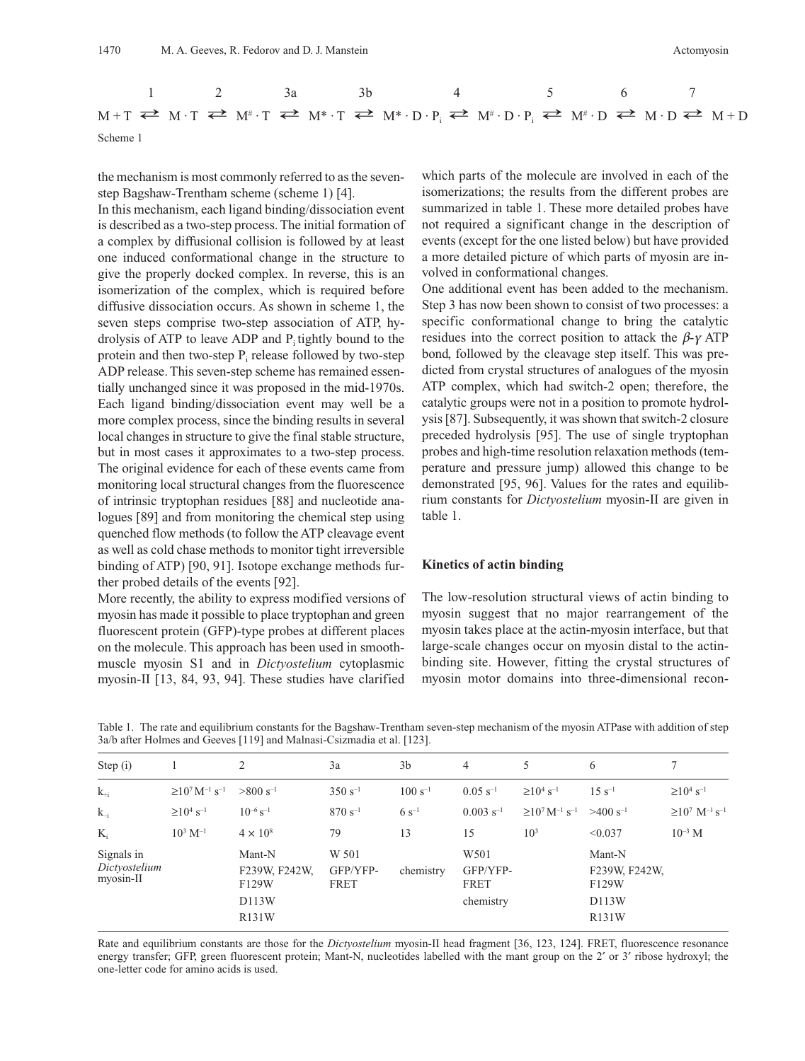

the mechanism is most commonly referred to as the sevenstep Bagshaw-Trentham scheme (scheme 1) [4].

In this mechanism, each ligand binding/dissociation event is described as a two-step process. The initial formation of a complex by diffusional collision is followed by at least one induced conformational change in the structure to give the properly docked complex. In reverse, this is an isomerization of the complex, which is required before diffusive dissociation occurs. As shown in scheme 1, the seven steps comprise two-step association of ATP, hydrolysis of ATP to leave ADP and  $P_i$  tightly bound to the protein and then two-step  $P_i$  release followed by two-step ADP release. This seven-step scheme has remained essentially unchanged since it was proposed in the mid-1970s. Each ligand binding/dissociation event may well be a more complex process, since the binding results in several local changes in structure to give the final stable structure, but in most cases it approximates to a two-step process. The original evidence for each of these events came from monitoring local structural changes from the fluorescence of intrinsic tryptophan residues [88] and nucleotide analogues [89] and from monitoring the chemical step using quenched flow methods (to follow the ATP cleavage event as well as cold chase methods to monitor tight irreversible binding of ATP) [90, 91]. Isotope exchange methods further probed details of the events [92].

More recently, the ability to express modified versions of myosin has made it possible to place tryptophan and green fluorescent protein (GFP)-type probes at different places on the molecule. This approach has been used in smoothmuscle myosin S1 and in *Dictyostelium* cytoplasmic myosin-II [13, 84, 93, 94]. These studies have clarified

which parts of the molecule are involved in each of the isomerizations; the results from the different probes are summarized in table 1. These more detailed probes have not required a significant change in the description of events (except for the one listed below) but have provided a more detailed picture of which parts of myosin are involved in conformational changes.

One additional event has been added to the mechanism. Step 3 has now been shown to consist of two processes: a specific conformational change to bring the catalytic residues into the correct position to attack the  $\beta$ -y ATP bond, followed by the cleavage step itself. This was predicted from crystal structures of analogues of the myosin ATP complex, which had switch-2 open; therefore, the catalytic groups were not in a position to promote hydrolysis [87]. Subsequently, it was shown that switch-2 closure preceded hydrolysis [95]. The use of single tryptophan probes and high-time resolution relaxation methods (temperature and pressure jump) allowed this change to be demonstrated [95, 96]. Values for the rates and equilibrium constants for *Dictyostelium* myosin-II are given in table 1.

#### **Kinetics of actin binding**

The low-resolution structural views of actin binding to myosin suggest that no major rearrangement of the myosin takes place at the actin-myosin interface, but that large-scale changes occur on myosin distal to the actinbinding site. However, fitting the crystal structures of myosin motor domains into three-dimensional recon-

Table 1. The rate and equilibrium constants for the Bagshaw-Trentham seven-step mechanism of the myosin ATPase with addition of step 3a/b after Holmes and Geeves [119] and Malnasi-Csizmadia et al. [123].

| Step (i)                                 |                                                        | 2                                                  | 3a                        | 3 <sub>b</sub> | 4                                                 | 5                                                      | 6                                                  | 7                                                      |
|------------------------------------------|--------------------------------------------------------|----------------------------------------------------|---------------------------|----------------|---------------------------------------------------|--------------------------------------------------------|----------------------------------------------------|--------------------------------------------------------|
| $k_{+i}$                                 | $\geq$ 10 <sup>7</sup> M <sup>-1</sup> s <sup>-1</sup> | $>800 s^{-1}$                                      | $350 s^{-1}$              | $100 s^{-1}$   | $0.05$ s <sup>-1</sup>                            | $\geq 10^4$ s <sup>-1</sup>                            | $15 s^{-1}$                                        | $\geq 10^4$ s <sup>-1</sup>                            |
| $k_{-i}$                                 | $\geq 10^4$ s <sup>-1</sup>                            | $10^{-6}$ s <sup>-1</sup>                          | $870 s^{-1}$              | $6s^{-1}$      | $0.003$ s <sup>-1</sup>                           | $\geq$ 10 <sup>7</sup> M <sup>-1</sup> s <sup>-1</sup> | $>400 s^{-1}$                                      | $\geq$ 10 <sup>7</sup> M <sup>-1</sup> s <sup>-1</sup> |
| $K_i$                                    | $10^3 M^{-1}$                                          | $4 \times 10^8$                                    | 79                        | 13             | 15                                                | 10 <sup>3</sup>                                        | < 0.037                                            | $10^{-3}$ M                                            |
| Signals in<br>Dictyostelium<br>myosin-II |                                                        | Mant-N<br>F239W, F242W,<br>F129W<br>D113W<br>R131W | W 501<br>GFP/YFP-<br>FRET | chemistry      | W <sub>501</sub><br>GFP/YFP-<br>FRET<br>chemistry |                                                        | Mant-N<br>F239W, F242W,<br>F129W<br>D113W<br>R131W |                                                        |

Rate and equilibrium constants are those for the *Dictyostelium* myosin-II head fragment [36, 123, 124]. FRET, fluorescence resonance energy transfer; GFP, green fluorescent protein; Mant-N, nucleotides labelled with the mant group on the 2' or 3' ribose hydroxyl; the one-letter code for amino acids is used.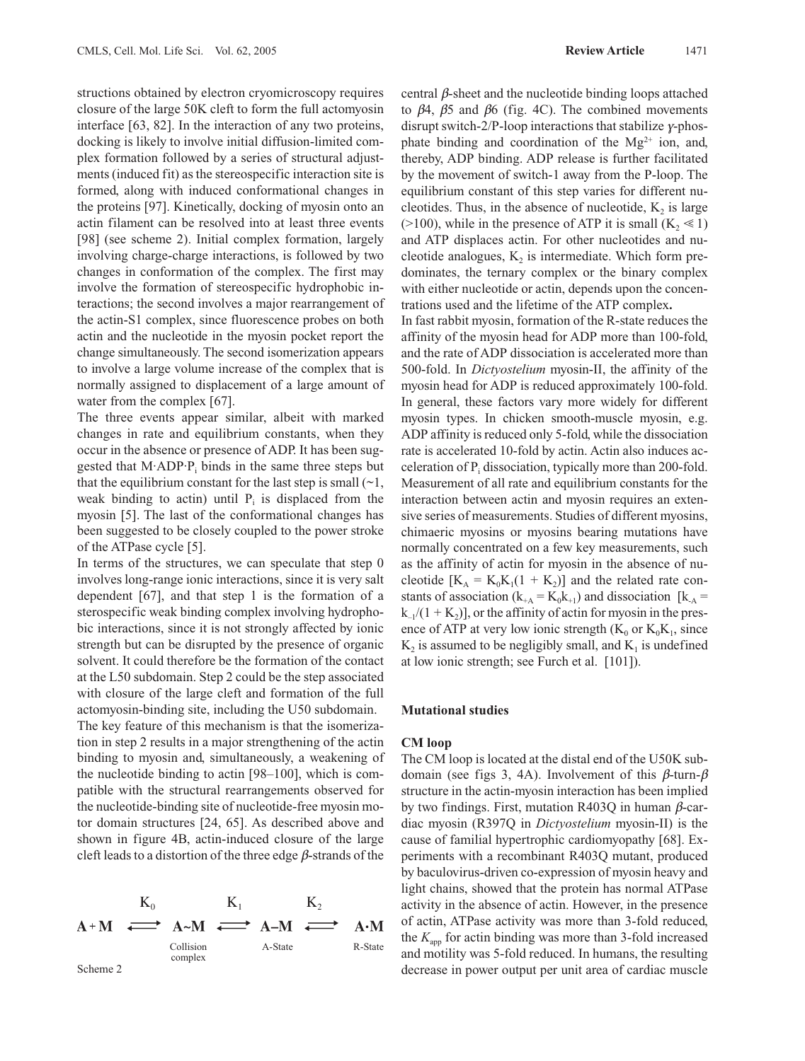structions obtained by electron cryomicroscopy requires closure of the large 50K cleft to form the full actomyosin interface [63, 82]. In the interaction of any two proteins, docking is likely to involve initial diffusion-limited complex formation followed by a series of structural adjustments (induced fit) as the stereospecific interaction site is formed, along with induced conformational changes in the proteins [97]. Kinetically, docking of myosin onto an actin filament can be resolved into at least three events [98] (see scheme 2). Initial complex formation, largely involving charge-charge interactions, is followed by two changes in conformation of the complex. The first may involve the formation of stereospecific hydrophobic interactions; the second involves a major rearrangement of the actin-S1 complex, since fluorescence probes on both actin and the nucleotide in the myosin pocket report the change simultaneously. The second isomerization appears to involve a large volume increase of the complex that is normally assigned to displacement of a large amount of water from the complex [67].

The three events appear similar, albeit with marked changes in rate and equilibrium constants, when they occur in the absence or presence of ADP. It has been suggested that  $M \Delta \text{D}P$ . binds in the same three steps but that the equilibrium constant for the last step is small  $(\sim 1,$ weak binding to actin) until  $P_i$  is displaced from the myosin [5]. The last of the conformational changes has been suggested to be closely coupled to the power stroke of the ATPase cycle [5].

In terms of the structures, we can speculate that step 0 involves long-range ionic interactions, since it is very salt dependent [67], and that step 1 is the formation of a sterospecific weak binding complex involving hydrophobic interactions, since it is not strongly affected by ionic strength but can be disrupted by the presence of organic solvent. It could therefore be the formation of the contact at the L50 subdomain. Step 2 could be the step associated with closure of the large cleft and formation of the full actomyosin-binding site, including the U50 subdomain.

The key feature of this mechanism is that the isomerization in step 2 results in a major strengthening of the actin binding to myosin and, simultaneously, a weakening of the nucleotide binding to actin [98–100], which is compatible with the structural rearrangements observed for the nucleotide-binding site of nucleotide-free myosin motor domain structures [24, 65]. As described above and shown in figure 4B, actin-induced closure of the large cleft leads to a distortion of the three edge  $\beta$ -strands of the



central  $\beta$ -sheet and the nucleotide binding loops attached to  $\beta$ 4,  $\beta$ 5 and  $\beta$ 6 (fig. 4C). The combined movements disrupt switch-2/P-loop interactions that stabilize  $\gamma$ -phosphate binding and coordination of the  $Mg^{2+}$  ion, and, thereby, ADP binding. ADP release is further facilitated by the movement of switch-1 away from the P-loop. The equilibrium constant of this step varies for different nucleotides. Thus, in the absence of nucleotide,  $K<sub>2</sub>$  is large (>100), while in the presence of ATP it is small  $(K_2 \le 1)$ and ATP displaces actin. For other nucleotides and nucleotide analogues,  $K_2$  is intermediate. Which form predominates, the ternary complex or the binary complex with either nucleotide or actin, depends upon the concentrations used and the lifetime of the ATP complex**.**

In fast rabbit myosin, formation of the R-state reduces the affinity of the myosin head for ADP more than 100-fold, and the rate of ADP dissociation is accelerated more than 500-fold. In *Dictyostelium* myosin-II, the affinity of the myosin head for ADP is reduced approximately 100-fold. In general, these factors vary more widely for different myosin types. In chicken smooth-muscle myosin, e.g. ADP affinity is reduced only 5-fold, while the dissociation rate is accelerated 10-fold by actin. Actin also induces acceleration of  $P_i$  dissociation, typically more than 200-fold. Measurement of all rate and equilibrium constants for the interaction between actin and myosin requires an extensive series of measurements. Studies of different myosins, chimaeric myosins or myosins bearing mutations have normally concentrated on a few key measurements, such as the affinity of actin for myosin in the absence of nucleotide  $[K_A = K_0K_1(1 + K_2)]$  and the related rate constants of association  $(k_{+A} = K_0 k_{+1})$  and dissociation  $[k_A =$  $k_{-1}/(1 + K_2)$ , or the affinity of actin for myosin in the presence of ATP at very low ionic strength  $(K_0$  or  $K_0K_1$ , since  $K<sub>2</sub>$  is assumed to be negligibly small, and  $K<sub>1</sub>$  is undefined at low ionic strength; see Furch et al. [101]).

#### **Mutational studies**

## **CM loop**

The CM loop is located at the distal end of the U50K subdomain (see figs 3, 4A). Involvement of this  $\beta$ -turn- $\beta$ structure in the actin-myosin interaction has been implied by two findings. First, mutation R403Q in human  $\beta$ -cardiac myosin (R397Q in *Dictyostelium* myosin-II) is the cause of familial hypertrophic cardiomyopathy [68]. Experiments with a recombinant R403Q mutant, produced by baculovirus-driven co-expression of myosin heavy and light chains, showed that the protein has normal ATPase activity in the absence of actin. However, in the presence of actin, ATPase activity was more than 3-fold reduced, the  $K_{\text{app}}$  for actin binding was more than 3-fold increased and motility was 5-fold reduced. In humans, the resulting Scheme 2 decrease in power output per unit area of cardiac muscle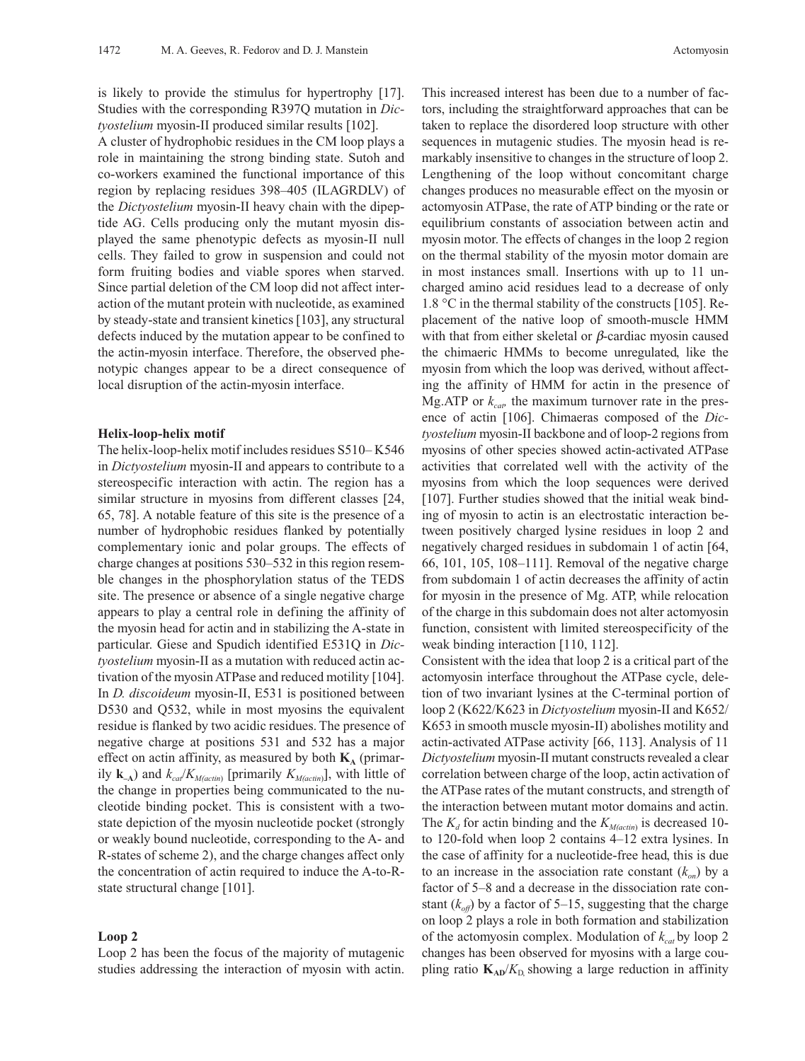is likely to provide the stimulus for hypertrophy [17]. Studies with the corresponding R397Q mutation in *Dictyostelium* myosin-II produced similar results [102].

A cluster of hydrophobic residues in the CM loop plays a role in maintaining the strong binding state. Sutoh and co-workers examined the functional importance of this region by replacing residues 398–405 (ILAGRDLV) of the *Dictyostelium* myosin-II heavy chain with the dipeptide AG. Cells producing only the mutant myosin displayed the same phenotypic defects as myosin-II null cells. They failed to grow in suspension and could not form fruiting bodies and viable spores when starved. Since partial deletion of the CM loop did not affect interaction of the mutant protein with nucleotide, as examined by steady-state and transient kinetics [103], any structural defects induced by the mutation appear to be confined to the actin-myosin interface. Therefore, the observed phenotypic changes appear to be a direct consequence of local disruption of the actin-myosin interface.

#### **Helix-loop-helix motif**

The helix-loop-helix motif includes residues S510– K546 in *Dictyostelium* myosin-II and appears to contribute to a stereospecific interaction with actin. The region has a similar structure in myosins from different classes [24, 65, 78]. A notable feature of this site is the presence of a number of hydrophobic residues flanked by potentially complementary ionic and polar groups. The effects of charge changes at positions 530–532 in this region resemble changes in the phosphorylation status of the TEDS site. The presence or absence of a single negative charge appears to play a central role in defining the affinity of the myosin head for actin and in stabilizing the A-state in particular. Giese and Spudich identified E531Q in *Dictyostelium* myosin-II as a mutation with reduced actin activation of the myosin ATPase and reduced motility [104]. In *D. discoideum* myosin-II, E531 is positioned between D530 and O532, while in most myosins the equivalent residue is flanked by two acidic residues. The presence of negative charge at positions 531 and 532 has a major effect on actin affinity, as measured by both  $\mathbf{K}_{\mathbf{A}}$  (primarily  $\mathbf{k}_{\text{A}}$ ) and  $k_{\text{cat}}/K_{M(\text{actin})}$  [primarily  $K_{M(\text{actin})}$ ], with little of the change in properties being communicated to the nucleotide binding pocket. This is consistent with a twostate depiction of the myosin nucleotide pocket (strongly or weakly bound nucleotide, corresponding to the A- and R-states of scheme 2), and the charge changes affect only the concentration of actin required to induce the A-to-Rstate structural change [101].

## **Loop 2**

Loop 2 has been the focus of the majority of mutagenic studies addressing the interaction of myosin with actin.

This increased interest has been due to a number of factors, including the straightforward approaches that can be taken to replace the disordered loop structure with other sequences in mutagenic studies. The myosin head is remarkably insensitive to changes in the structure of loop 2. Lengthening of the loop without concomitant charge changes produces no measurable effect on the myosin or actomyosin ATPase, the rate of ATP binding or the rate or equilibrium constants of association between actin and myosin motor. The effects of changes in the loop 2 region on the thermal stability of the myosin motor domain are in most instances small. Insertions with up to 11 uncharged amino acid residues lead to a decrease of only 1.8 °C in the thermal stability of the constructs [105]. Replacement of the native loop of smooth-muscle HMM with that from either skeletal or  $\beta$ -cardiac myosin caused the chimaeric HMMs to become unregulated, like the myosin from which the loop was derived, without affecting the affinity of HMM for actin in the presence of Mg.ATP or  $k_{\text{cap}}$  the maximum turnover rate in the presence of actin [106]. Chimaeras composed of the *Dictyostelium* myosin-II backbone and of loop-2 regions from myosins of other species showed actin-activated ATPase activities that correlated well with the activity of the myosins from which the loop sequences were derived [107]. Further studies showed that the initial weak binding of myosin to actin is an electrostatic interaction between positively charged lysine residues in loop 2 and negatively charged residues in subdomain 1 of actin [64, 66, 101, 105, 108–111]. Removal of the negative charge from subdomain 1 of actin decreases the affinity of actin for myosin in the presence of Mg. ATP, while relocation of the charge in this subdomain does not alter actomyosin function, consistent with limited stereospecificity of the weak binding interaction [110, 112].

Consistent with the idea that loop 2 is a critical part of the actomyosin interface throughout the ATPase cycle, deletion of two invariant lysines at the C-terminal portion of loop 2 (K622/K623 in *Dictyostelium* myosin-II and K652/ K653 in smooth muscle myosin-II) abolishes motility and actin-activated ATPase activity [66, 113]. Analysis of 11 *Dictyostelium* myosin-II mutant constructs revealed a clear correlation between charge of the loop, actin activation of the ATPase rates of the mutant constructs, and strength of the interaction between mutant motor domains and actin. The  $K_d$  for actin binding and the  $K_{M(\text{actin})}$  is decreased 10to 120-fold when loop 2 contains 4–12 extra lysines. In the case of affinity for a nucleotide-free head, this is due to an increase in the association rate constant  $(k_{\alpha n})$  by a factor of 5–8 and a decrease in the dissociation rate constant  $(k_{off})$  by a factor of 5–15, suggesting that the charge on loop 2 plays a role in both formation and stabilization of the actomyosin complex. Modulation of  $k_{cat}$  by loop 2 changes has been observed for myosins with a large coupling ratio  $K_{AD}/K_D$  showing a large reduction in affinity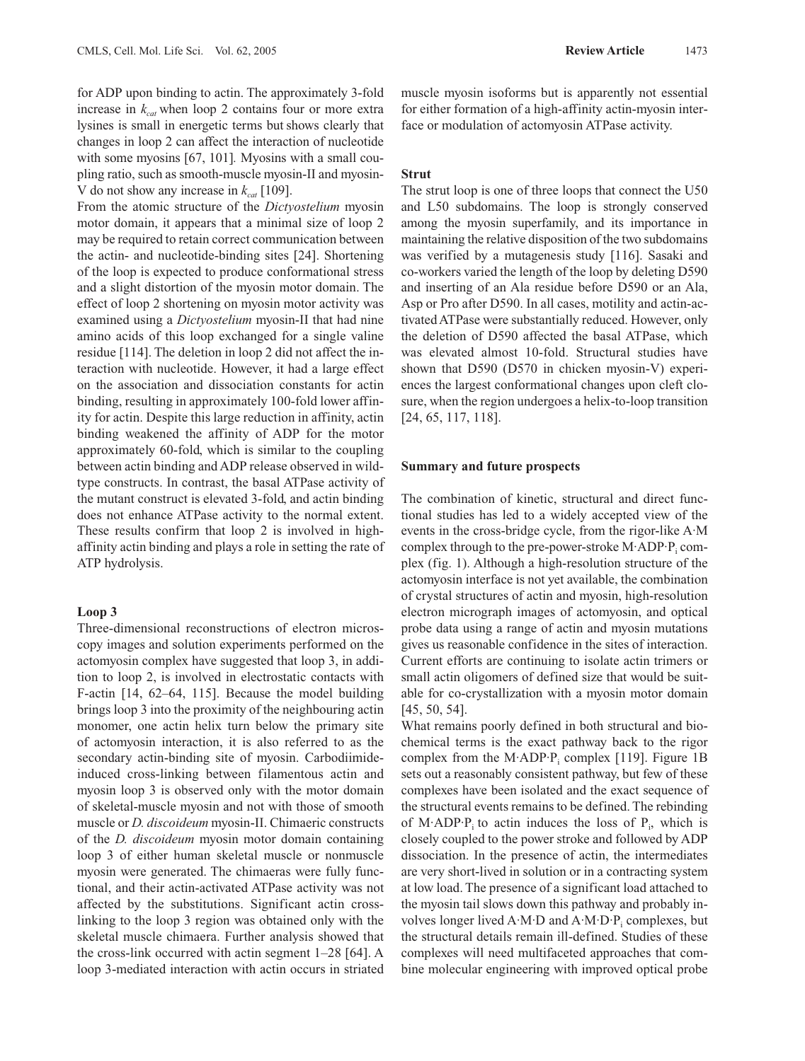for ADP upon binding to actin. The approximately 3-fold increase in  $k_{cat}$  when loop 2 contains four or more extra lysines is small in energetic terms but shows clearly that changes in loop 2 can affect the interaction of nucleotide with some myosins [67, 101]. Myosins with a small coupling ratio, such as smooth-muscle myosin-II and myosin-V do not show any increase in  $k_{cat}$  [109].

From the atomic structure of the *Dictyostelium* myosin motor domain, it appears that a minimal size of loop 2 may be required to retain correct communication between the actin- and nucleotide-binding sites [24]. Shortening of the loop is expected to produce conformational stress and a slight distortion of the myosin motor domain. The effect of loop 2 shortening on myosin motor activity was examined using a *Dictyostelium* myosin-II that had nine amino acids of this loop exchanged for a single valine residue [114]. The deletion in loop 2 did not affect the interaction with nucleotide. However, it had a large effect on the association and dissociation constants for actin binding, resulting in approximately 100-fold lower affinity for actin. Despite this large reduction in affinity, actin binding weakened the affinity of ADP for the motor approximately 60-fold, which is similar to the coupling between actin binding and ADP release observed in wildtype constructs. In contrast, the basal ATPase activity of the mutant construct is elevated 3-fold, and actin binding does not enhance ATPase activity to the normal extent. These results confirm that loop 2 is involved in highaffinity actin binding and plays a role in setting the rate of ATP hydrolysis.

## **Loop 3**

Three-dimensional reconstructions of electron microscopy images and solution experiments performed on the actomyosin complex have suggested that loop 3, in addition to loop 2, is involved in electrostatic contacts with F-actin [14, 62–64, 115]. Because the model building brings loop 3 into the proximity of the neighbouring actin monomer, one actin helix turn below the primary site of actomyosin interaction, it is also referred to as the secondary actin-binding site of myosin. Carbodiimideinduced cross-linking between filamentous actin and myosin loop 3 is observed only with the motor domain of skeletal-muscle myosin and not with those of smooth muscle or *D. discoideum* myosin-II. Chimaeric constructs of the *D. discoideum* myosin motor domain containing loop 3 of either human skeletal muscle or nonmuscle myosin were generated. The chimaeras were fully functional, and their actin-activated ATPase activity was not affected by the substitutions. Significant actin crosslinking to the loop 3 region was obtained only with the skeletal muscle chimaera. Further analysis showed that the cross-link occurred with actin segment 1–28 [64]. A loop 3-mediated interaction with actin occurs in striated

muscle myosin isoforms but is apparently not essential for either formation of a high-affinity actin-myosin interface or modulation of actomyosin ATPase activity.

# **Strut**

The strut loop is one of three loops that connect the U50 and L50 subdomains. The loop is strongly conserved among the myosin superfamily, and its importance in maintaining the relative disposition of the two subdomains was verified by a mutagenesis study [116]. Sasaki and co-workers varied the length of the loop by deleting D590 and inserting of an Ala residue before D590 or an Ala, Asp or Pro after D590. In all cases, motility and actin-activated ATPase were substantially reduced. However, only the deletion of D590 affected the basal ATPase, which was elevated almost 10-fold. Structural studies have shown that D590 (D570 in chicken myosin-V) experiences the largest conformational changes upon cleft closure, when the region undergoes a helix-to-loop transition [24, 65, 117, 118].

#### **Summary and future prospects**

The combination of kinetic, structural and direct functional studies has led to a widely accepted view of the events in the cross-bridge cycle, from the rigor-like A·M complex through to the pre-power-stroke  $M \cdot ADP \cdot P_i$  complex (fig. 1). Although a high-resolution structure of the actomyosin interface is not yet available, the combination of crystal structures of actin and myosin, high-resolution electron micrograph images of actomyosin, and optical probe data using a range of actin and myosin mutations gives us reasonable confidence in the sites of interaction. Current efforts are continuing to isolate actin trimers or small actin oligomers of defined size that would be suitable for co-crystallization with a myosin motor domain [45, 50, 54].

What remains poorly defined in both structural and biochemical terms is the exact pathway back to the rigor complex from the M·ADP·P<sub>i</sub> complex [119]. Figure 1B sets out a reasonably consistent pathway, but few of these complexes have been isolated and the exact sequence of the structural events remains to be defined. The rebinding of M·ADP·P<sub>i</sub> to actin induces the loss of  $P_i$ , which is closely coupled to the power stroke and followed by ADP dissociation. In the presence of actin, the intermediates are very short-lived in solution or in a contracting system at low load. The presence of a significant load attached to the myosin tail slows down this pathway and probably involves longer lived  $A \cdot M \cdot D$  and  $A \cdot M \cdot D \cdot P_i$  complexes, but the structural details remain ill-defined. Studies of these complexes will need multifaceted approaches that combine molecular engineering with improved optical probe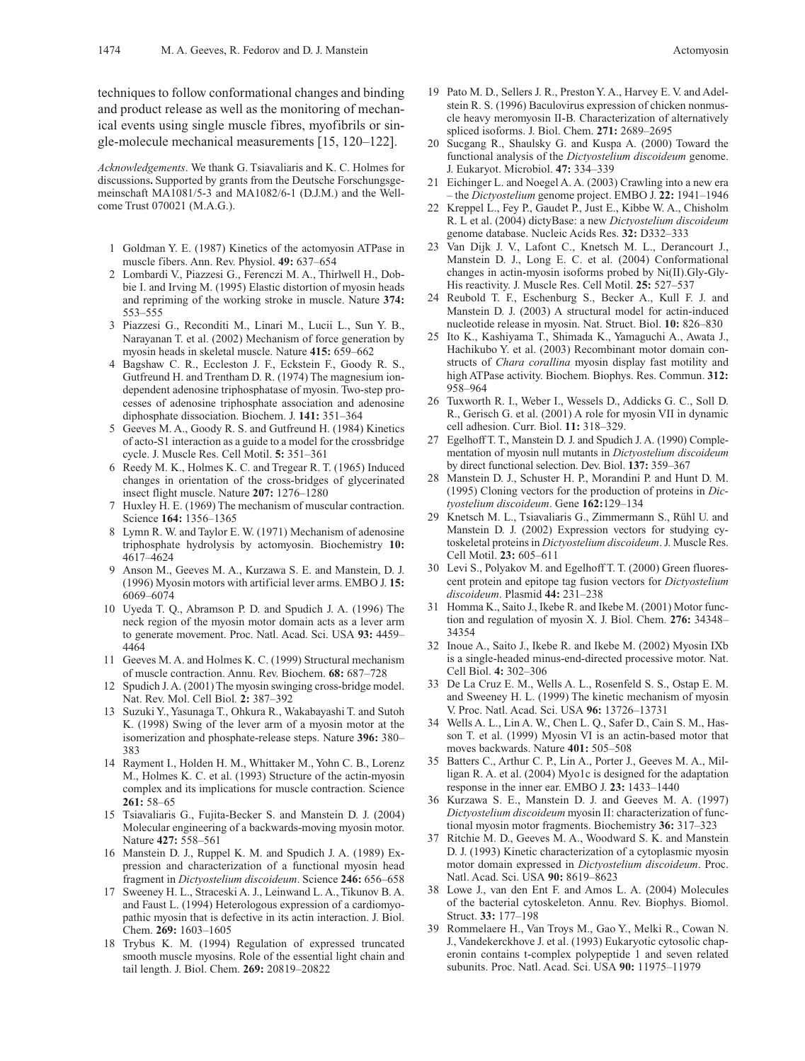techniques to follow conformational changes and binding and product release as well as the monitoring of mechanical events using single muscle fibres, myofibrils or single-molecule mechanical measurements [15, 120–122].

*Acknowledgements*. We thank G. Tsiavaliaris and K. C. Holmes for discussions**.** Supported by grants from the Deutsche Forschungsgemeinschaft MA1081/5-3 and MA1082/6-1 (D.J.M.) and the Wellcome Trust 070021 (M.A.G.).

- 1 Goldman Y. E. (1987) Kinetics of the actomyosin ATPase in muscle fibers. Ann. Rev. Physiol. **49:** 637–654
- 2 Lombardi V., Piazzesi G., Ferenczi M. A., Thirlwell H., Dobbie I. and Irving M. (1995) Elastic distortion of myosin heads and repriming of the working stroke in muscle. Nature **374:** 553–555
- 3 Piazzesi G., Reconditi M., Linari M., Lucii L., Sun Y. B., Narayanan T. et al. (2002) Mechanism of force generation by myosin heads in skeletal muscle. Nature **415:** 659–662
- 4 Bagshaw C. R., Eccleston J. F., Eckstein F., Goody R. S., Gutfreund H. and Trentham D. R. (1974) The magnesium iondependent adenosine triphosphatase of myosin. Two-step processes of adenosine triphosphate association and adenosine diphosphate dissociation. Biochem. J. **141:** 351–364
- 5 Geeves M. A., Goody R. S. and Gutfreund H. (1984) Kinetics of acto-S1 interaction as a guide to a model for the crossbridge cycle. J. Muscle Res. Cell Motil. **5:** 351–361
- 6 Reedy M. K., Holmes K. C. and Tregear R. T. (1965) Induced changes in orientation of the cross-bridges of glycerinated insect flight muscle. Nature **207:** 1276–1280
- 7 Huxley H. E. (1969) The mechanism of muscular contraction. Science **164:** 1356–1365
- 8 Lymn R. W. and Taylor E. W. (1971) Mechanism of adenosine triphosphate hydrolysis by actomyosin. Biochemistry **10:** 4617–4624
- 9 Anson M., Geeves M. A., Kurzawa S. E. and Manstein, D. J. (1996) Myosin motors with artificial lever arms. EMBO J. **15:** 6069–6074
- 10 Uyeda T. Q., Abramson P. D. and Spudich J. A. (1996) The neck region of the myosin motor domain acts as a lever arm to generate movement. Proc. Natl. Acad. Sci. USA **93:** 4459– 4464
- 11 Geeves M. A. and Holmes K. C. (1999) Structural mechanism of muscle contraction. Annu. Rev. Biochem. **68:** 687–728
- Spudich J. A. (2001) The myosin swinging cross-bridge model. Nat. Rev. Mol. Cell Biol*.* **2:** 387–392
- 13 Suzuki Y., Yasunaga T., Ohkura R., Wakabayashi T. and Sutoh K. (1998) Swing of the lever arm of a myosin motor at the isomerization and phosphate-release steps. Nature **396:** 380– 383
- 14 Rayment I., Holden H. M., Whittaker M., Yohn C. B., Lorenz M., Holmes K. C. et al. (1993) Structure of the actin-myosin complex and its implications for muscle contraction. Science **261:** 58–65
- 15 Tsiavaliaris G., Fujita-Becker S. and Manstein D. J. (2004) Molecular engineering of a backwards-moving myosin motor. Nature **427:** 558–561
- 16 Manstein D. J., Ruppel K. M. and Spudich J. A. (1989) Expression and characterization of a functional myosin head fragment in *Dictyostelium discoideum*. Science **246:** 656–658
- 17 Sweeney H. L., Straceski A. J., Leinwand L. A., Tikunov B. A. and Faust L. (1994) Heterologous expression of a cardiomyopathic myosin that is defective in its actin interaction. J. Biol. Chem. **269:** 1603–1605
- 18 Trybus K. M. (1994) Regulation of expressed truncated smooth muscle myosins. Role of the essential light chain and tail length. J. Biol. Chem. **269:** 20819–20822
- 19 Pato M. D., Sellers J. R., Preston Y. A., Harvey E. V. and Adelstein R. S. (1996) Baculovirus expression of chicken nonmuscle heavy meromyosin II-B. Characterization of alternatively spliced isoforms. J. Biol. Chem. **271:** 2689–2695
- 20 Sucgang R., Shaulsky G. and Kuspa A. (2000) Toward the functional analysis of the *Dictyostelium discoideum* genome. J. Eukaryot. Microbiol. **47:** 334–339
- 21 Eichinger L. and Noegel A. A. (2003) Crawling into a new era – the *Dictyostelium* genome project. EMBO J. **22:** 1941–1946
- 22 Kreppel L., Fey P., Gaudet P., Just E., Kibbe W. A., Chisholm R. L et al. (2004) dictyBase: a new *Dictyostelium discoideum* genome database. Nucleic Acids Res. **32:** D332–333
- 23 Van Dijk J. V., Lafont C., Knetsch M. L., Derancourt J., Manstein D. J., Long E. C. et al. (2004) Conformational changes in actin-myosin isoforms probed by Ni(II).Gly-Gly-His reactivity. J. Muscle Res. Cell Motil. **25:** 527–537
- 24 Reubold T. F., Eschenburg S., Becker A., Kull F. J. and Manstein D. J. (2003) A structural model for actin-induced nucleotide release in myosin. Nat. Struct. Biol. **10:** 826–830
- 25 Ito K., Kashiyama T., Shimada K., Yamaguchi A., Awata J., Hachikubo Y. et al. (2003) Recombinant motor domain constructs of *Chara corallina* myosin display fast motility and high ATPase activity. Biochem. Biophys. Res. Commun. **312:** 958–964
- 26 Tuxworth R. I., Weber I., Wessels D., Addicks G. C., Soll D. R., Gerisch G. et al. (2001) A role for myosin VII in dynamic cell adhesion. Curr. Biol. **11:** 318–329.
- 27 Egelhoff T. T., Manstein D. J. and Spudich J. A. (1990) Complementation of myosin null mutants in *Dictyostelium discoideum* by direct functional selection. Dev. Biol. **137:** 359–367
- 28 Manstein D. J., Schuster H. P., Morandini P. and Hunt D. M. (1995) Cloning vectors for the production of proteins in *Dictyostelium discoideum*. Gene **162:**129–134
- 29 Knetsch M. L., Tsiavaliaris G., Zimmermann S., Rühl U. and Manstein D. J. (2002) Expression vectors for studying cytoskeletal proteins in *Dictyostelium discoideum*. J. Muscle Res. Cell Motil. **23:** 605–611
- 30 Levi S., Polyakov M. and Egelhoff T. T. (2000) Green fluorescent protein and epitope tag fusion vectors for *Dictyostelium discoideum*. Plasmid **44:** 231–238
- 31 Homma K., Saito J., Ikebe R. and Ikebe M. (2001) Motor function and regulation of myosin X. J. Biol. Chem. **276:** 34348– 34354
- 32 Inoue A., Saito J., Ikebe R. and Ikebe M. (2002) Myosin IXb is a single-headed minus-end-directed processive motor. Nat. Cell Biol. **4:** 302–306
- 33 De La Cruz E. M., Wells A. L., Rosenfeld S. S., Ostap E. M. and Sweeney H. L. (1999) The kinetic mechanism of myosin V. Proc. Natl. Acad. Sci. USA **96:** 13726–13731
- 34 Wells A. L., Lin A. W., Chen L. Q., Safer D., Cain S. M., Hasson T. et al. (1999) Myosin VI is an actin-based motor that moves backwards. Nature **401:** 505–508
- 35 Batters C., Arthur C. P., Lin A., Porter J., Geeves M. A., Milligan R. A. et al. (2004) Myo1c is designed for the adaptation response in the inner ear. EMBO J. **23:** 1433–1440
- 36 Kurzawa S. E., Manstein D. J. and Geeves M. A. (1997) *Dictyostelium discoideum* myosin II: characterization of functional myosin motor fragments. Biochemistry **36:** 317–323
- 37 Ritchie M. D., Geeves M. A., Woodward S. K. and Manstein D. J. (1993) Kinetic characterization of a cytoplasmic myosin motor domain expressed in *Dictyostelium discoideum*. Proc. Natl. Acad. Sci. USA **90:** 8619–8623
- 38 Lowe J., van den Ent F. and Amos L. A. (2004) Molecules of the bacterial cytoskeleton. Annu. Rev. Biophys. Biomol. Struct. **33:** 177–198
- 39 Rommelaere H., Van Troys M., Gao Y., Melki R., Cowan N. J., Vandekerckhove J. et al. (1993) Eukaryotic cytosolic chaperonin contains t-complex polypeptide 1 and seven related subunits. Proc. Natl. Acad. Sci. USA **90:** 11975–11979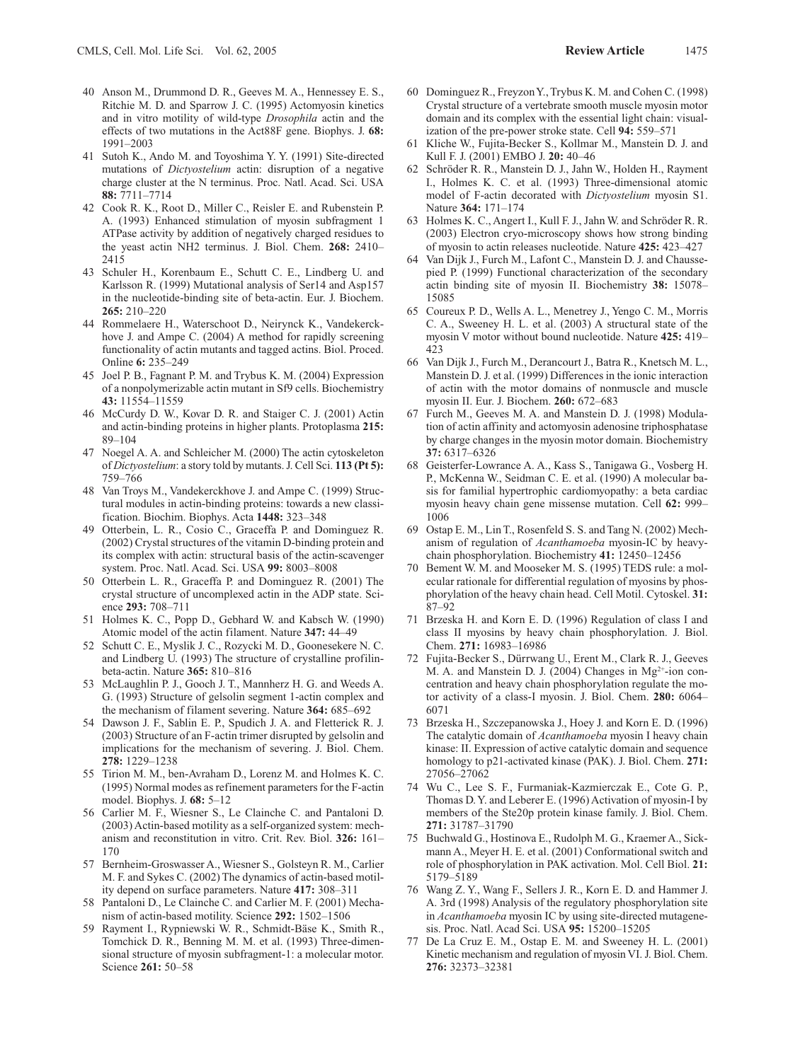- 40 Anson M., Drummond D. R., Geeves M. A., Hennessey E. S., Ritchie M. D. and Sparrow J. C. (1995) Actomyosin kinetics and in vitro motility of wild-type *Drosophila* actin and the effects of two mutations in the Act88F gene. Biophys. J. **68:** 1991–2003
- 41 Sutoh K., Ando M. and Toyoshima Y. Y. (1991) Site-directed mutations of *Dictyostelium* actin: disruption of a negative charge cluster at the N terminus. Proc. Natl. Acad. Sci. USA **88:** 7711–7714
- 42 Cook R. K., Root D., Miller C., Reisler E. and Rubenstein P. A. (1993) Enhanced stimulation of myosin subfragment 1 ATPase activity by addition of negatively charged residues to the yeast actin NH2 terminus. J. Biol. Chem. **268:** 2410– 2415
- 43 Schuler H., Korenbaum E., Schutt C. E., Lindberg U. and Karlsson R. (1999) Mutational analysis of Ser14 and Asp157 in the nucleotide-binding site of beta-actin. Eur. J. Biochem. **265:** 210–220
- 44 Rommelaere H., Waterschoot D., Neirynck K., Vandekerckhove J. and Ampe C. (2004) A method for rapidly screening functionality of actin mutants and tagged actins. Biol. Proced. Online **6:** 235–249
- 45 Joel P. B., Fagnant P. M. and Trybus K. M. (2004) Expression of a nonpolymerizable actin mutant in Sf9 cells. Biochemistry **43:** 11554–11559
- 46 McCurdy D. W., Kovar D. R. and Staiger C. J. (2001) Actin and actin-binding proteins in higher plants. Protoplasma **215:** 89–104
- 47 Noegel A. A. and Schleicher M. (2000) The actin cytoskeleton of *Dictyostelium*: a story told by mutants. J. Cell Sci. **113 (Pt 5):** 759–766
- 48 Van Troys M., Vandekerckhove J. and Ampe C. (1999) Structural modules in actin-binding proteins: towards a new classification. Biochim. Biophys. Acta **1448:** 323–348
- 49 Otterbein, L. R., Cosio C., Graceffa P. and Dominguez R. (2002) Crystal structures of the vitamin D-binding protein and its complex with actin: structural basis of the actin-scavenger system. Proc. Natl. Acad. Sci. USA **99:** 8003–8008
- 50 Otterbein L. R., Graceffa P. and Dominguez R. (2001) The crystal structure of uncomplexed actin in the ADP state. Science **293:** 708–711
- 51 Holmes K. C., Popp D., Gebhard W. and Kabsch W. (1990) Atomic model of the actin filament. Nature **347:** 44–49
- 52 Schutt C. E., Myslik J. C., Rozycki M. D., Goonesekere N. C. and Lindberg U. (1993) The structure of crystalline profilinbeta-actin. Nature **365:** 810–816
- 53 McLaughlin P. J., Gooch J. T., Mannherz H. G. and Weeds A. G. (1993) Structure of gelsolin segment 1-actin complex and the mechanism of filament severing. Nature **364:** 685–692
- 54 Dawson J. F., Sablin E. P., Spudich J. A. and Fletterick R. J. (2003) Structure of an F-actin trimer disrupted by gelsolin and implications for the mechanism of severing. J. Biol. Chem. **278:** 1229–1238
- 55 Tirion M. M., ben-Avraham D., Lorenz M. and Holmes K. C. (1995) Normal modes as refinement parameters for the F-actin model. Biophys. J. **68:** 5–12
- 56 Carlier M. F., Wiesner S., Le Clainche C. and Pantaloni D. (2003) Actin-based motility as a self-organized system: mechanism and reconstitution in vitro. Crit. Rev. Biol. **326:** 161– 170
- 57 Bernheim-Groswasser A., Wiesner S., Golsteyn R. M., Carlier M. F. and Sykes C. (2002) The dynamics of actin-based motility depend on surface parameters. Nature **417:** 308–311
- 58 Pantaloni D., Le Clainche C. and Carlier M. F. (2001) Mechanism of actin-based motility. Science **292:** 1502–1506
- 59 Rayment I., Rypniewski W. R., Schmidt-Bäse K., Smith R., Tomchick D. R., Benning M. M. et al. (1993) Three-dimensional structure of myosin subfragment-1: a molecular motor. Science **261:** 50–58
- 60 Dominguez R., Freyzon Y., Trybus K. M. and Cohen C. (1998) Crystal structure of a vertebrate smooth muscle myosin motor domain and its complex with the essential light chain: visualization of the pre-power stroke state. Cell **94:** 559–571
- Kliche W., Fujita-Becker S., Kollmar M., Manstein D. J. and Kull F. J. (2001) EMBO J. **20:** 40–46
- 62 Schröder R. R., Manstein D. J., Jahn W., Holden H., Rayment I., Holmes K. C. et al. (1993) Three-dimensional atomic model of F-actin decorated with *Dictyostelium* myosin S1. Nature **364:** 171–174
- 63 Holmes K. C., Angert I., Kull F. J., Jahn W. and Schröder R. R. (2003) Electron cryo-microscopy shows how strong binding of myosin to actin releases nucleotide. Nature **425:** 423–427
- 64 Van Dijk J., Furch M., Lafont C., Manstein D. J. and Chaussepied P. (1999) Functional characterization of the secondary actin binding site of myosin II. Biochemistry **38:** 15078– 15085
- 65 Coureux P. D., Wells A. L., Menetrey J., Yengo C. M., Morris C. A., Sweeney H. L. et al. (2003) A structural state of the myosin V motor without bound nucleotide. Nature **425:** 419– 423
- 66 Van Dijk J., Furch M., Derancourt J., Batra R., Knetsch M. L., Manstein D. J. et al. (1999) Differences in the ionic interaction of actin with the motor domains of nonmuscle and muscle myosin II. Eur. J. Biochem. **260:** 672–683
- 67 Furch M., Geeves M. A. and Manstein D. J. (1998) Modulation of actin affinity and actomyosin adenosine triphosphatase by charge changes in the myosin motor domain. Biochemistry **37:** 6317–6326
- 68 Geisterfer-Lowrance A. A., Kass S., Tanigawa G., Vosberg H. P., McKenna W., Seidman C. E. et al. (1990) A molecular basis for familial hypertrophic cardiomyopathy: a beta cardiac myosin heavy chain gene missense mutation. Cell **62:** 999– 1006
- 69 Ostap E. M., Lin T., Rosenfeld S. S. and Tang N. (2002) Mechanism of regulation of *Acanthamoeba* myosin-IC by heavychain phosphorylation. Biochemistry **41:** 12450–12456
- 70 Bement W. M. and Mooseker M. S. (1995) TEDS rule: a molecular rationale for differential regulation of myosins by phosphorylation of the heavy chain head. Cell Motil. Cytoskel. **31:** 87–92
- 71 Brzeska H. and Korn E. D. (1996) Regulation of class I and class II myosins by heavy chain phosphorylation. J. Biol. Chem. **271:** 16983–16986
- 72 Fujita-Becker S., Dürrwang U., Erent M., Clark R. J., Geeves M. A. and Manstein D. J. (2004) Changes in Mg<sup>2+</sup>-ion concentration and heavy chain phosphorylation regulate the motor activity of a class-I myosin. J. Biol. Chem. **280:** 6064– 6071
- 73 Brzeska H., Szczepanowska J., Hoey J. and Korn E. D. (1996) The catalytic domain of *Acanthamoeba* myosin I heavy chain kinase: II. Expression of active catalytic domain and sequence homology to p21-activated kinase (PAK). J. Biol. Chem. **271:** 27056–27062
- 74 Wu C., Lee S. F., Furmaniak-Kazmierczak E., Cote G. P., Thomas D. Y. and Leberer E. (1996) Activation of myosin-I by members of the Ste20p protein kinase family. J. Biol. Chem. **271:** 31787–31790
- 75 Buchwald G., Hostinova E., Rudolph M. G., Kraemer A., Sickmann A., Meyer H. E. et al. (2001) Conformational switch and role of phosphorylation in PAK activation. Mol. Cell Biol. **21:** 5179–5189
- 76 Wang Z. Y., Wang F., Sellers J. R., Korn E. D. and Hammer J. A. 3rd (1998) Analysis of the regulatory phosphorylation site in *Acanthamoeba* myosin IC by using site-directed mutagenesis. Proc. Natl. Acad Sci. USA **95:** 15200–15205
- 77 De La Cruz E. M., Ostap E. M. and Sweeney H. L. (2001) Kinetic mechanism and regulation of myosin VI. J. Biol. Chem. **276:** 32373–32381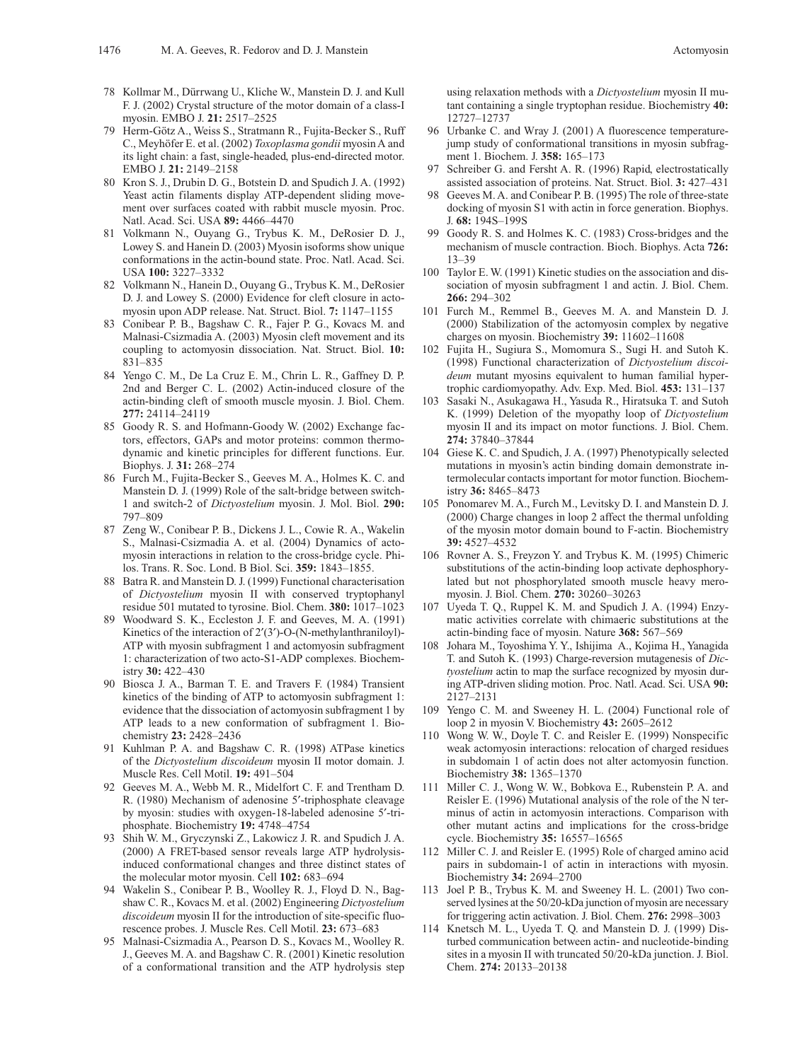- 78 Kollmar M., Dürrwang U., Kliche W., Manstein D. J. and Kull F. J. (2002) Crystal structure of the motor domain of a class-I myosin. EMBO J. **21:** 2517–2525
- 79 Herm-Götz A., Weiss S., Stratmann R., Fujita-Becker S., Ruff C., Meyhöfer E. et al. (2002) *Toxoplasma gondii* myosin A and its light chain: a fast, single-headed, plus-end-directed motor. EMBO J. **21:** 2149–2158
- 80 Kron S. J., Drubin D. G., Botstein D. and Spudich J. A. (1992) Yeast actin filaments display ATP-dependent sliding movement over surfaces coated with rabbit muscle myosin. Proc. Natl. Acad. Sci. USA **89:** 4466–4470
- 81 Volkmann N., Ouyang G., Trybus K. M., DeRosier D. J., Lowey S. and Hanein D. (2003) Myosin isoforms show unique conformations in the actin-bound state. Proc. Natl. Acad. Sci. USA **100:** 3227–3332
- 82 Volkmann N., Hanein D., Ouyang G., Trybus K. M., DeRosier D. J. and Lowey S. (2000) Evidence for cleft closure in actomyosin upon ADP release. Nat. Struct. Biol. **7:** 1147–1155
- 83 Conibear P. B., Bagshaw C. R., Fajer P. G., Kovacs M. and Malnasi-Csizmadia A. (2003) Myosin cleft movement and its coupling to actomyosin dissociation. Nat. Struct. Biol. **10:** 831–835
- 84 Yengo C. M., De La Cruz E. M., Chrin L. R., Gaffney D. P. 2nd and Berger C. L. (2002) Actin-induced closure of the actin-binding cleft of smooth muscle myosin. J. Biol. Chem. **277:** 24114–24119
- 85 Goody R. S. and Hofmann-Goody W. (2002) Exchange factors, effectors, GAPs and motor proteins: common thermodynamic and kinetic principles for different functions. Eur. Biophys. J. **31:** 268–274
- 86 Furch M., Fujita-Becker S., Geeves M. A., Holmes K. C. and Manstein D. J. (1999) Role of the salt-bridge between switch-1 and switch-2 of *Dictyostelium* myosin. J. Mol. Biol. **290:** 797–809
- Zeng W., Conibear P. B., Dickens J. L., Cowie R. A., Wakelin S., Malnasi-Csizmadia A. et al. (2004) Dynamics of actomyosin interactions in relation to the cross-bridge cycle. Philos. Trans. R. Soc. Lond. B Biol. Sci. **359:** 1843–1855.
- 88 Batra R. and Manstein D. J. (1999) Functional characterisation of *Dictyostelium* myosin II with conserved tryptophanyl residue 501 mutated to tyrosine. Biol. Chem. **380:** 1017–1023
- 89 Woodward S. K., Eccleston J. F. and Geeves, M. A. (1991) Kinetics of the interaction of  $2'(3')$ -O-(N-methylanthraniloyl)-ATP with myosin subfragment 1 and actomyosin subfragment 1: characterization of two acto-S1-ADP complexes. Biochemistry **30:** 422–430
- 90 Biosca J. A., Barman T. E. and Travers F. (1984) Transient kinetics of the binding of ATP to actomyosin subfragment 1: evidence that the dissociation of actomyosin subfragment 1 by ATP leads to a new conformation of subfragment 1. Biochemistry **23:** 2428–2436
- 91 Kuhlman P. A. and Bagshaw C. R. (1998) ATPase kinetics of the *Dictyostelium discoideum* myosin II motor domain. J. Muscle Res. Cell Motil. **19:** 491–504
- 92 Geeves M. A., Webb M. R., Midelfort C. F. and Trentham D. R. (1980) Mechanism of adenosine 5'-triphosphate cleavage by myosin: studies with oxygen-18-labeled adenosine 5¢-triphosphate. Biochemistry **19:** 4748–4754
- 93 Shih W. M., Gryczynski Z., Lakowicz J. R. and Spudich J. A. (2000) A FRET-based sensor reveals large ATP hydrolysisinduced conformational changes and three distinct states of the molecular motor myosin. Cell **102:** 683–694
- 94 Wakelin S., Conibear P. B., Woolley R. J., Floyd D. N., Bagshaw C. R., Kovacs M. et al. (2002) Engineering *Dictyostelium discoideum* myosin II for the introduction of site-specific fluorescence probes. J. Muscle Res. Cell Motil. **23:** 673–683
- 95 Malnasi-Csizmadia A., Pearson D. S., Kovacs M., Woolley R. J., Geeves M. A. and Bagshaw C. R. (2001) Kinetic resolution of a conformational transition and the ATP hydrolysis step

using relaxation methods with a *Dictyostelium* myosin II mutant containing a single tryptophan residue. Biochemistry **40:** 12727–12737

- 96 Urbanke C. and Wray J. (2001) A fluorescence temperaturejump study of conformational transitions in myosin subfragment 1. Biochem. J. **358:** 165–173
- Schreiber G. and Fersht A. R. (1996) Rapid, electrostatically assisted association of proteins. Nat. Struct. Biol. **3:** 427–431
- 98 Geeves M. A. and Conibear P. B. (1995) The role of three-state docking of myosin S1 with actin in force generation. Biophys. J. **68:** 194S–199S
- 99 Goody R. S. and Holmes K. C. (1983) Cross-bridges and the mechanism of muscle contraction. Bioch. Biophys. Acta **726:** 13–39
- 100 Taylor E. W. (1991) Kinetic studies on the association and dissociation of myosin subfragment 1 and actin. J. Biol. Chem. **266:** 294–302
- 101 Furch M., Remmel B., Geeves M. A. and Manstein D. J. (2000) Stabilization of the actomyosin complex by negative charges on myosin. Biochemistry **39:** 11602–11608
- 102 Fujita H., Sugiura S., Momomura S., Sugi H. and Sutoh K. (1998) Functional characterization of *Dictyostelium discoideum* mutant myosins equivalent to human familial hypertrophic cardiomyopathy. Adv. Exp. Med. Biol. **453:** 131–137
- 103 Sasaki N., Asukagawa H., Yasuda R., Hiratsuka T. and Sutoh K. (1999) Deletion of the myopathy loop of *Dictyostelium* myosin II and its impact on motor functions. J. Biol. Chem. **274:** 37840–37844
- 104 Giese K. C. and Spudich, J. A. (1997) Phenotypically selected mutations in myosin's actin binding domain demonstrate intermolecular contacts important for motor function. Biochemistry **36:** 8465–8473
- 105 Ponomarev M. A., Furch M., Levitsky D. I. and Manstein D. J. (2000) Charge changes in loop 2 affect the thermal unfolding of the myosin motor domain bound to F-actin. Biochemistry **39:** 4527–4532
- 106 Rovner A. S., Freyzon Y. and Trybus K. M. (1995) Chimeric substitutions of the actin-binding loop activate dephosphorylated but not phosphorylated smooth muscle heavy meromyosin. J. Biol. Chem. **270:** 30260–30263
- 107 Uyeda T. Q., Ruppel K. M. and Spudich J. A. (1994) Enzymatic activities correlate with chimaeric substitutions at the actin-binding face of myosin. Nature **368:** 567–569
- 108 Johara M., Toyoshima Y. Y., Ishijima A., Kojima H., Yanagida T. and Sutoh K. (1993) Charge-reversion mutagenesis of *Dictyostelium* actin to map the surface recognized by myosin during ATP-driven sliding motion. Proc. Natl. Acad. Sci. USA **90:** 2127–2131
- 109 Yengo C. M. and Sweeney H. L. (2004) Functional role of loop 2 in myosin V. Biochemistry **43:** 2605–2612
- 110 Wong W. W., Doyle T. C. and Reisler E. (1999) Nonspecific weak actomyosin interactions: relocation of charged residues in subdomain 1 of actin does not alter actomyosin function. Biochemistry **38:** 1365–1370
- 111 Miller C. J., Wong W. W., Bobkova E., Rubenstein P. A. and Reisler E. (1996) Mutational analysis of the role of the N terminus of actin in actomyosin interactions. Comparison with other mutant actins and implications for the cross-bridge cycle. Biochemistry **35:** 16557–16565
- 112 Miller C. J. and Reisler E. (1995) Role of charged amino acid pairs in subdomain-1 of actin in interactions with myosin. Biochemistry **34:** 2694–2700
- 113 Joel P. B., Trybus K. M. and Sweeney H. L. (2001) Two conserved lysines at the 50/20-kDa junction of myosin are necessary for triggering actin activation. J. Biol. Chem. **276:** 2998–3003
- 114 Knetsch M. L., Uyeda T. Q. and Manstein D. J. (1999) Disturbed communication between actin- and nucleotide-binding sites in a myosin II with truncated 50/20-kDa junction. J. Biol. Chem. **274:** 20133–20138